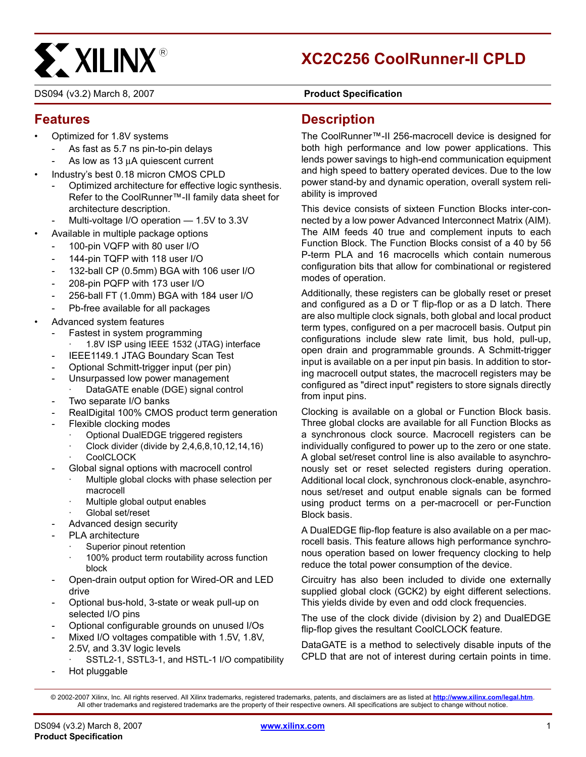# **EXALINX®**

# **XC2C256 CoolRunner-II CPLD**

DS094 (v3.2) March 8, 2007 **0 0 0 0 Product Specification** 

#### **Features**

- Optimized for 1.8V systems
	- As fast as 5.7 ns pin-to-pin delays
	- As low as 13 μA quiescent current
- Industry's best 0.18 micron CMOS CPLD
	- Optimized architecture for effective logic synthesis. Refer to the CoolRunner™-II family data sheet for architecture description.
	- Multi-voltage I/O operation 1.5V to 3.3V
- Available in multiple package options
- 100-pin VQFP with 80 user I/O
	- 144-pin TQFP with 118 user I/O
	- 132-ball CP (0.5mm) BGA with 106 user I/O
	- 208-pin PQFP with 173 user I/O
	- 256-ball FT (1.0mm) BGA with 184 user I/O
	- Pb-free available for all packages
- Advanced system features
	- Fastest in system programming
		- 1.8V ISP using IEEE 1532 (JTAG) interface
	- IEEE1149.1 JTAG Boundary Scan Test
	- Optional Schmitt-trigger input (per pin)
	- Unsurpassed low power management
	- DataGATE enable (DGE) signal control
	- Two separate I/O banks
	- RealDigital 100% CMOS product term generation
	- Flexible clocking modes
		- · Optional DualEDGE triggered registers
		- · Clock divider (divide by 2,4,6,8,10,12,14,16)
		- **CoolCLOCK**
	- Global signal options with macrocell control
		- Multiple global clocks with phase selection per macrocell
		- · Multiple global output enables
		- Global set/reset
	- Advanced design security
	- PLA architecture
		- Superior pinout retention
		- 100% product term routability across function block
	- Open-drain output option for Wired-OR and LED drive
	- Optional bus-hold, 3-state or weak pull-up on selected I/O pins
	- Optional configurable grounds on unused I/Os
	- Mixed I/O voltages compatible with 1.5V, 1.8V, 2.5V, and 3.3V logic levels
		- SSTL2-1, SSTL3-1, and HSTL-1 I/O compatibility
	- Hot pluggable

**Description**

The CoolRunner™-II 256-macrocell device is designed for both high performance and low power applications. This lends power savings to high-end communication equipment and high speed to battery operated devices. Due to the low power stand-by and dynamic operation, overall system reliability is improved

This device consists of sixteen Function Blocks inter-connected by a low power Advanced Interconnect Matrix (AIM). The AIM feeds 40 true and complement inputs to each Function Block. The Function Blocks consist of a 40 by 56 P-term PLA and 16 macrocells which contain numerous configuration bits that allow for combinational or registered modes of operation.

Additionally, these registers can be globally reset or preset and configured as a D or T flip-flop or as a D latch. There are also multiple clock signals, both global and local product term types, configured on a per macrocell basis. Output pin configurations include slew rate limit, bus hold, pull-up, open drain and programmable grounds. A Schmitt-trigger input is available on a per input pin basis. In addition to storing macrocell output states, the macrocell registers may be configured as "direct input" registers to store signals directly from input pins.

Clocking is available on a global or Function Block basis. Three global clocks are available for all Function Blocks as a synchronous clock source. Macrocell registers can be individually configured to power up to the zero or one state. A global set/reset control line is also available to asynchronously set or reset selected registers during operation. Additional local clock, synchronous clock-enable, asynchronous set/reset and output enable signals can be formed using product terms on a per-macrocell or per-Function Block basis.

A DualEDGE flip-flop feature is also available on a per macrocell basis. This feature allows high performance synchronous operation based on lower frequency clocking to help reduce the total power consumption of the device.

Circuitry has also been included to divide one externally supplied global clock (GCK2) by eight different selections. This yields divide by even and odd clock frequencies.

The use of the clock divide (division by 2) and DualEDGE flip-flop gives the resultant CoolCLOCK feature.

DataGATE is a method to selectively disable inputs of the CPLD that are not of interest during certain points in time.

<sup>© 2002-2007</sup> Xilinx, Inc. All rights reserved. All Xilinx trademarks, registered trademarks, patents, and disclaimers are as listed at **<http://www.xilinx.com/legal.htm>**. All other trademarks and registered trademarks are the property of their respective owners. All specifications are subject to change without notice.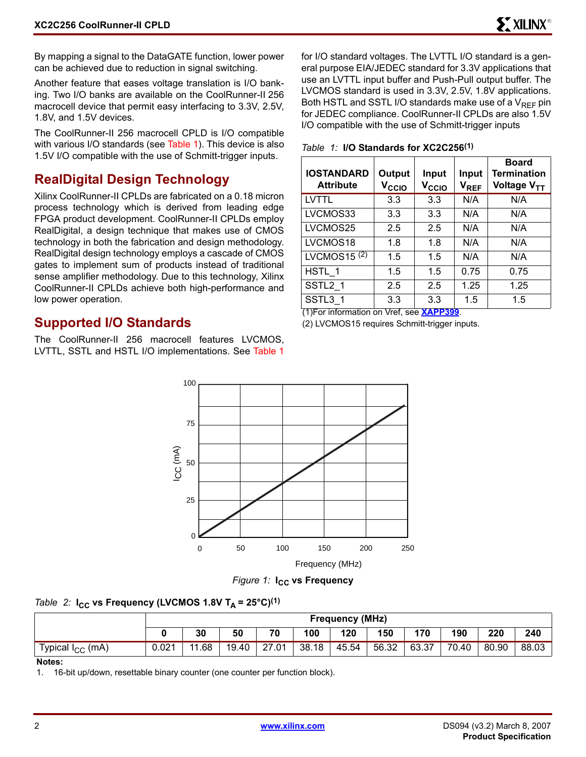By mapping a signal to the DataGATE function, lower power can be achieved due to reduction in signal switching.

Another feature that eases voltage translation is I/O banking. Two I/O banks are available on the CoolRunner-II 256 macrocell device that permit easy interfacing to 3.3V, 2.5V, 1.8V, and 1.5V devices.

The CoolRunner-II 256 macrocell CPLD is I/O compatible with various I/O standards (see Table 1). This device is also 1.5V I/O compatible with the use of Schmitt-trigger inputs.

#### **RealDigital Design Technology**

Xilinx CoolRunner-II CPLDs are fabricated on a 0.18 micron process technology which is derived from leading edge FPGA product development. CoolRunner-II CPLDs employ RealDigital, a design technique that makes use of CMOS technology in both the fabrication and design methodology. RealDigital design technology employs a cascade of CMOS gates to implement sum of products instead of traditional sense amplifier methodology. Due to this technology, Xilinx CoolRunner-II CPLDs achieve both high-performance and low power operation.

#### **Supported I/O Standards**

The CoolRunner-II 256 macrocell features LVCMOS, LVTTL, SSTL and HSTL I/O implementations. See Table 1 for I/O standard voltages. The LVTTL I/O standard is a general purpose EIA/JEDEC standard for 3.3V applications that use an LVTTL input buffer and Push-Pull output buffer. The LVCMOS standard is used in 3.3V, 2.5V, 1.8V applications. Both HSTL and SSTL I/O standards make use of a  $V_{RFF}$  pin for JEDEC compliance. CoolRunner-II CPLDs are also 1.5V I/O compatible with the use of Schmitt-trigger inputs

| <b>IOSTANDARD</b><br><b>Attribute</b> | Output<br>$\mathsf{v}_\mathsf{ccio}$ | Input<br>$\mathsf{v}_\mathsf{ccio}$ | Input<br>$V_{REF}$ | <b>Board</b><br><b>Termination</b><br>Voltage V <sub>TT</sub> |
|---------------------------------------|--------------------------------------|-------------------------------------|--------------------|---------------------------------------------------------------|
| <b>LVTTL</b>                          | 3.3                                  | 3.3                                 | N/A                | N/A                                                           |
| LVCMOS33                              | 3.3                                  | 3.3                                 | N/A                | N/A                                                           |
| LVCMOS25                              | 2.5                                  | 2.5                                 | N/A                | N/A                                                           |
| LVCMOS18                              | 1.8                                  | 1.8                                 | N/A                | N/A                                                           |
| LVCMOS15 $(2)$                        | 1.5                                  | 1.5                                 | N/A                | N/A                                                           |
| HSTL 1                                | 1.5                                  | 1.5                                 | 0.75               | 0.75                                                          |
| SSTL2 1                               | 2.5                                  | 2.5                                 | 1.25               | 1.25                                                          |
| SSTL3 1                               | 3.3                                  | 3.3                                 | 1.5                | 1.5                                                           |

(1)For information on Vref, see **[XAPP399](http://direct.xilinx.com/bvdocs/appnotes/xapp399.pdf)**.

(2) LVCMOS15 requires Schmitt-trigger inputs.



*Figure 1:* **I<sub>CC</sub>** vs Frequency

#### *Table 2:* **I<sub>CC</sub>** vs Frequency (LVCMOS 1.8V T<sub>A</sub> = 25°C)<sup>(1)</sup>

|                       | <b>Frequency (MHz)</b> |      |       |       |       |       |       |       |       |       |       |
|-----------------------|------------------------|------|-------|-------|-------|-------|-------|-------|-------|-------|-------|
|                       |                        | 30   | 50    | 70    | 100   | 120   | 150   | 170   | 190   | 220   | 240   |
| Typical $I_{CC}$ (mA) | 0.021                  | l.68 | 19.40 | 27.01 | 38.18 | 45.54 | 56.32 | 63.37 | 70.40 | 80.90 | 88.03 |

#### **Notes:**

1. 16-bit up/down, resettable binary counter (one counter per function block).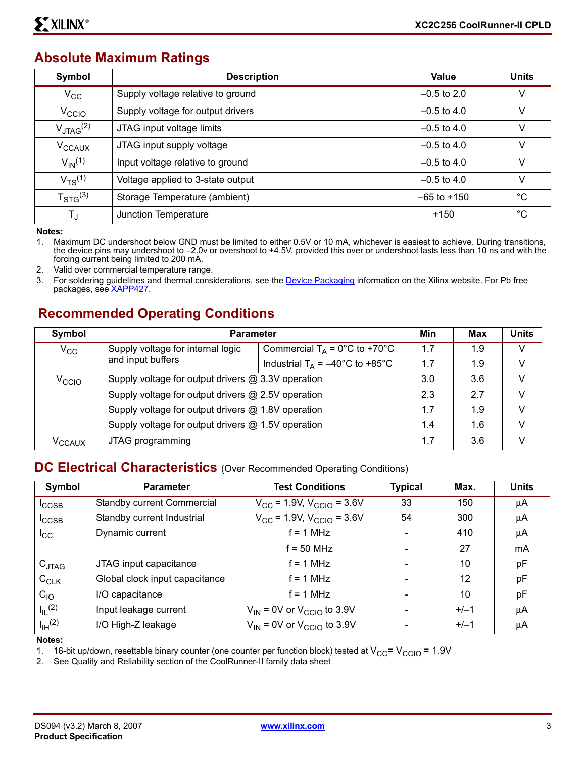#### **Absolute Maximum Ratings**

| Symbol                           | <b>Description</b>                | Value           | <b>Units</b> |
|----------------------------------|-----------------------------------|-----------------|--------------|
| $V_{\rm CC}$                     | Supply voltage relative to ground | $-0.5$ to 2.0   | v            |
| V <sub>CCIO</sub>                | Supply voltage for output drivers | $-0.5$ to 4.0   | V            |
| $V_{\text{JTAG}}^{(2)}$          | JTAG input voltage limits         | $-0.5$ to 4.0   | V            |
| V <sub>CCAUX</sub>               | JTAG input supply voltage         | $-0.5$ to 4.0   | V            |
| $V_{\text{IN}}^{(1)}$            | Input voltage relative to ground  | $-0.5$ to 4.0   | v            |
| $V_{TS}^{(1)}$                   | Voltage applied to 3-state output | $-0.5$ to 4.0   | V            |
| ${\mathsf T}_{\text{STG}}^{(3)}$ | Storage Temperature (ambient)     | $-65$ to $+150$ | $^{\circ}C$  |
| $T_{\rm J}$                      | Junction Temperature              | $+150$          | $^{\circ}C$  |

**Notes:** 

1. Maximum DC undershoot below GND must be limited to either 0.5V or 10 mA, whichever is easiest to achieve. During transitions, the device pins may undershoot to –2.0v or overshoot to +4.5V, provided this over or undershoot lasts less than 10 ns and with the forcing current being limited to 200 mA.

2. Valid over commercial temperature range.

3. For soldering guidelines and thermal considerations, see the **Device Packaging** information on the Xilinx website. For Pb free packages, see [XAPP427](http://direct.xilinx.com/bvdocs/appnotes/xapp427.pdf).

#### **Recommended Operating Conditions**

| Symbol             | <b>Parameter</b>                                                                                         |                                                                             | Min | Max | <b>Units</b> |
|--------------------|----------------------------------------------------------------------------------------------------------|-----------------------------------------------------------------------------|-----|-----|--------------|
| $V_{\rm CC}$       | Supply voltage for internal logic                                                                        | Commercial $T_A = 0^\circ C$ to +70 $^\circ C$                              | 1.7 | 1.9 | V            |
|                    | and input buffers                                                                                        | Industrial T <sub>A</sub> = $\overline{-40^{\circ}C}$ to +85 <sup>°</sup> C | 1.7 | 1.9 | $\vee$       |
| V <sub>CCIO</sub>  |                                                                                                          | Supply voltage for output drivers @ 3.3V operation                          |     |     | V            |
|                    | Supply voltage for output drivers @ 2.5V operation<br>Supply voltage for output drivers @ 1.8V operation |                                                                             |     | 2.7 | V            |
|                    |                                                                                                          |                                                                             |     | 1.9 | $\vee$       |
|                    | Supply voltage for output drivers @ 1.5V operation                                                       |                                                                             | 1.4 | 1.6 | V            |
| V <sub>CCAUX</sub> | JTAG programming                                                                                         |                                                                             | 1.7 | 3.6 | $\vee$       |

#### **DC Electrical Characteristics** (Over Recommended Operating Conditions)

| Symbol                  | <b>Parameter</b>               | <b>Test Conditions</b>                        | <b>Typical</b> | Max.   | <b>Units</b> |
|-------------------------|--------------------------------|-----------------------------------------------|----------------|--------|--------------|
| $I_{\text{CCSB}}$       | Standby current Commercial     | $\overline{V_{CC}}$ = 1.9V, $V_{CCIO}$ = 3.6V | 33             | 150    | μA           |
| $I_{\text{CCSB}}$       | Standby current Industrial     | $V_{CC}$ = 1.9V, $V_{CCIO}$ = 3.6V            | 54             | 300    | μA           |
| $I_{\rm CC}$            | Dynamic current                | $f = 1$ MHz                                   |                | 410    | μA           |
|                         |                                | $f = 50$ MHz                                  |                | 27     | mA           |
| $C_{JTAG}$              | JTAG input capacitance         | $f = 1$ MHz                                   |                | 10     | pF           |
| $C_{CLK}$               | Global clock input capacitance | $f = 1$ MHz                                   |                | 12     | pF           |
| $C_{10}$                | I/O capacitance                | $f = 1$ MHz                                   |                | 10     | pF           |
| $I_{IL}$ <sup>(2)</sup> | Input leakage current          | $V_{IN}$ = 0V or $V_{CCIO}$ to 3.9V           |                | $+/-1$ | μA           |
| $I_{\text{IH}}^{(2)}$   | I/O High-Z leakage             | $V_{IN}$ = 0V or $V_{CCIO}$ to 3.9V           |                | $+/-1$ | μA           |

**Notes:** 

1. 16-bit up/down, resettable binary counter (one counter per function block) tested at  $V_{CC} = V_{CCIO} = 1.9V$ <br>2. See Quality and Reliability section of the CoolRunner-II family data sheet

See Quality and Reliability section of the CoolRunner-II family data sheet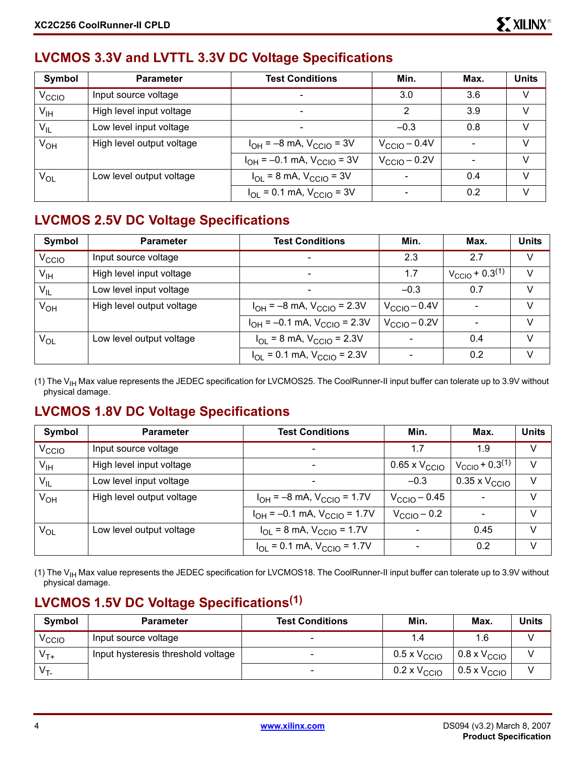#### **LVCMOS 3.3V and LVTTL 3.3V DC Voltage Specifications**

| Symbol                     | <b>Parameter</b>          | <b>Test Conditions</b>                                    | Min.                     | Max. | <b>Units</b> |
|----------------------------|---------------------------|-----------------------------------------------------------|--------------------------|------|--------------|
| V <sub>CCIO</sub>          | Input source voltage      |                                                           | 3.0                      | 3.6  | V            |
| $\mathsf{V}_{\mathsf{IH}}$ | High level input voltage  | $\qquad \qquad \blacksquare$                              | 2                        | 3.9  | V            |
| $V_{IL}$                   | Low level input voltage   |                                                           | $-0.3$                   | 0.8  | V            |
| $V_{OH}$                   | High level output voltage | $I_{OH} = -8$ mA, $V_{CClO} = 3V$                         | $V_{\text{CCIO}} - 0.4V$ |      | V            |
|                            |                           | $I_{OH} = -0.1$ mA, $V_{CClO} = 3V$                       | $V_{\text{CCIO}} - 0.2V$ |      | $\vee$       |
| V <sub>OL</sub>            | Low level output voltage  | $I_{\text{OI}} = 8 \text{ mA}$ , $V_{\text{CCIO}} = 3V$   |                          | 0.4  | V            |
|                            |                           | $I_{\text{OI}} = 0.1 \text{ mA}$ , $V_{\text{CCIO}} = 3V$ |                          | 0.2  | V            |

#### **LVCMOS 2.5V DC Voltage Specifications**

| Symbol            | <b>Parameter</b>          | <b>Test Conditions</b>                             | Min.                     | Max.                                | <b>Units</b> |
|-------------------|---------------------------|----------------------------------------------------|--------------------------|-------------------------------------|--------------|
| V <sub>CCIO</sub> | Input source voltage      |                                                    | 2.3                      | 2.7                                 | V            |
| $V_{\text{IH}}$   | High level input voltage  |                                                    | 1.7                      | $V_{\rm CClO}$ + 0.3 <sup>(1)</sup> | $\vee$       |
| $V_{IL}$          | Low level input voltage   |                                                    | $-0.3$                   | 0.7                                 | V            |
| $V_{OH}$          | High level output voltage | $I_{OH} = -8$ mA, $V_{CGIO} = 2.3V$                | $V_{\text{CCIO}} - 0.4V$ |                                     | V            |
|                   |                           | $I_{OH} = -0.1$ mA, $V_{CClO} = 2.3V$              | $V_{\text{CCIO}} - 0.2V$ |                                     | V            |
| $V_{OL}$          | Low level output voltage  | $I_{\text{OI}}$ = 8 mA, $V_{\text{CCIO}}$ = 2.3V   | $\overline{\phantom{a}}$ | 0.4                                 | V            |
|                   |                           | $I_{\text{OI}}$ = 0.1 mA, $V_{\text{CCIO}}$ = 2.3V | $\overline{\phantom{a}}$ | 0.2                                 | V            |

(1) The  $V_{\text{IH}}$  Max value represents the JEDEC specification for LVCMOS25. The CoolRunner-II input buffer can tolerate up to 3.9V without physical damage.

#### **LVCMOS 1.8V DC Voltage Specifications**

| Symbol            | <b>Parameter</b>          | <b>Test Conditions</b>                           | Min.                          | Max.                                | <b>Units</b> |
|-------------------|---------------------------|--------------------------------------------------|-------------------------------|-------------------------------------|--------------|
| V <sub>CCIO</sub> | Input source voltage      | $\overline{\phantom{a}}$                         | 1.7                           | 1.9                                 | V            |
| $V_{\text{IH}}$   | High level input voltage  | $\overline{\phantom{a}}$                         | $0.65 \times V_{\text{CCIO}}$ | $V_{\rm CClO}$ + 0.3 <sup>(1)</sup> | V            |
| $V_{IL}$          | Low level input voltage   |                                                  | $-0.3$                        | $0.35 \times V_{\text{CCIO}}$       | $\vee$       |
| $V_{OH}$          | High level output voltage | $I_{OH} = -8$ mA, $V_{CGIO} = 1.7V$              | $V_{\rm CClO}$ – 0.45         |                                     | V            |
|                   |                           | $I_{OH} = -0.1$ mA, $V_{CCIO} = 1.7V$            | $V_{\text{CCIO}} - 0.2$       |                                     | V            |
| $V_{OL}$          | Low level output voltage  | $I_{\text{OI}}$ = 8 mA, $V_{\text{CCIO}}$ = 1.7V |                               | 0.45                                | V            |
|                   |                           | $I_{OL}$ = 0.1 mA, $V_{CCIO}$ = 1.7V             | ۰                             | 0.2                                 | V            |

(1) The V<sub>IH</sub> Max value represents the JEDEC specification for LVCMOS18. The CoolRunner-II input buffer can tolerate up to 3.9V without physical damage.

#### **LVCMOS 1.5V DC Voltage Specifications(1)**

| Symbol            | <b>Parameter</b>                   | <b>Test Conditions</b>   | Min.                         | Max.                         | Units |
|-------------------|------------------------------------|--------------------------|------------------------------|------------------------------|-------|
| <sup>V</sup> CCIO | Input source voltage               |                          | 1.4                          |                              |       |
| $V_{T+}$          | Input hysteresis threshold voltage | $\sim$                   | $0.5 \times V_{\text{CCIO}}$ | $0.8 \times V_{\text{CCIO}}$ |       |
| $V_{T}$           |                                    | $\overline{\phantom{0}}$ | $0.2 \times V_{\text{CCIO}}$ | $0.5 \times V_{\text{CCIO}}$ |       |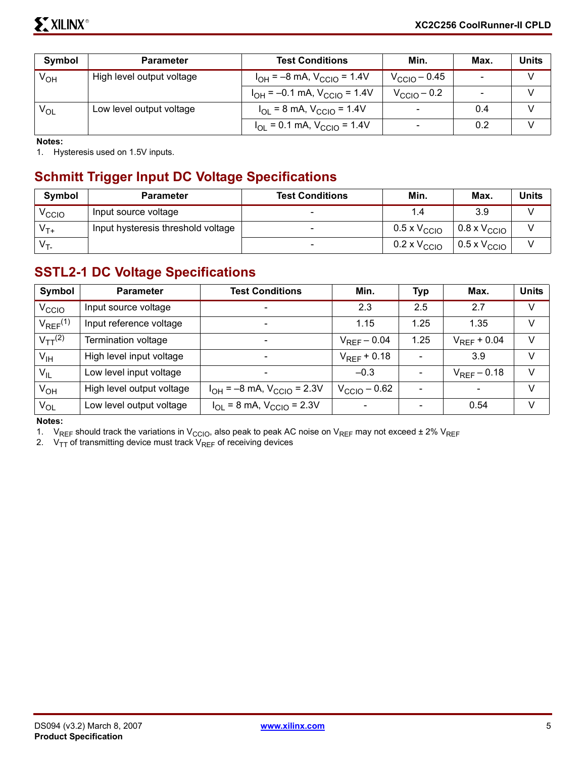| Symbol   | <b>Parameter</b>          | <b>Test Conditions</b>                | Min.                     | Max.                     | Units |
|----------|---------------------------|---------------------------------------|--------------------------|--------------------------|-------|
| $V_{OH}$ | High level output voltage | $I_{OH} = -8$ mA, $V_{CCIO} = 1.4V$   | $V_{\rm CCIO}$ – 0.45    | $\overline{\phantom{0}}$ |       |
|          |                           | $I_{OH}$ = -0.1 mA, $V_{CCIO}$ = 1.4V | $V_{\text{CCIO}} - 0.2$  |                          |       |
| $V_{OL}$ | Low level output voltage  | $I_{OL}$ = 8 mA, $V_{CCIO}$ = 1.4V    | $\overline{\phantom{a}}$ | 0.4                      |       |
|          |                           | $I_{OL}$ = 0.1 mA, $V_{CCIO}$ = 1.4V  | $\overline{\phantom{a}}$ | 0.2                      |       |

**Notes:** 

1. Hysteresis used on 1.5V inputs.

#### **Schmitt Trigger Input DC Voltage Specifications**

| <b>Symbol</b>     | <b>Parameter</b>                   | <b>Test Conditions</b> | Min.                         | Max.                         | <b>Units</b> |
|-------------------|------------------------------------|------------------------|------------------------------|------------------------------|--------------|
| V <sub>CCIO</sub> | Input source voltage               |                        | 1.4                          | 3.9                          |              |
| $V_{T+}$          | Input hysteresis threshold voltage |                        | $0.5$ x $\rm V_{\rm CClO}$   | $0.8 \times V_{\text{CCIO}}$ |              |
| $V_{T}$           |                                    | $\sim$                 | $0.2 \times V_{\text{CCIO}}$ | $0.5 \times V_{\text{CCIO}}$ |              |

#### **SSTL2-1 DC Voltage Specifications**

| Symbol                   | <b>Parameter</b>          | <b>Test Conditions</b>                           | Min.                     | <b>Typ</b> | Max.                     | <b>Units</b> |
|--------------------------|---------------------------|--------------------------------------------------|--------------------------|------------|--------------------------|--------------|
| V <sub>CCIO</sub>        | Input source voltage      | $\overline{\phantom{0}}$                         | 2.3                      | 2.5        | 2.7                      | $\vee$       |
| $V_{REF}$ <sup>(1)</sup> | Input reference voltage   | $\overline{\phantom{0}}$                         | 1.15                     | 1.25       | 1.35                     | V            |
| $V_{TT}$ <sup>(2)</sup>  | Termination voltage       | $\qquad \qquad \blacksquare$                     | $V_{RFF}$ – 0.04         | 1.25       | $V_{RFF}$ + 0.04         | V            |
| $V_{\text{IH}}$          | High level input voltage  | $\overline{\phantom{0}}$                         | $V_{RFF}$ + 0.18         |            | 3.9                      | V            |
| $V_{IL}$                 | Low level input voltage   | $\overline{\phantom{0}}$                         | $-0.3$                   |            | $V_{RFF}$ – 0.18         | $\vee$       |
| V <sub>OH</sub>          | High level output voltage | $I_{OH} = -8$ mA, $V_{CCIO} = 2.3V$              | $V_{\text{CCIO}} - 0.62$ |            | $\overline{\phantom{a}}$ | V            |
| $V_{OL}$                 | Low level output voltage  | $I_{\text{OI}}$ = 8 mA, $V_{\text{CCIO}}$ = 2.3V |                          |            | 0.54                     | V            |

#### **Notes:**

1. V<sub>REF</sub> should track the variations in V<sub>CCIO</sub>, also peak to peak AC noise on V<sub>REF</sub> may not exceed ± 2% V<sub>REF</sub>

2.  $\rm\,V_{TT}$  of transmitting device must track  $\rm\,V_{REF}$  of receiving devices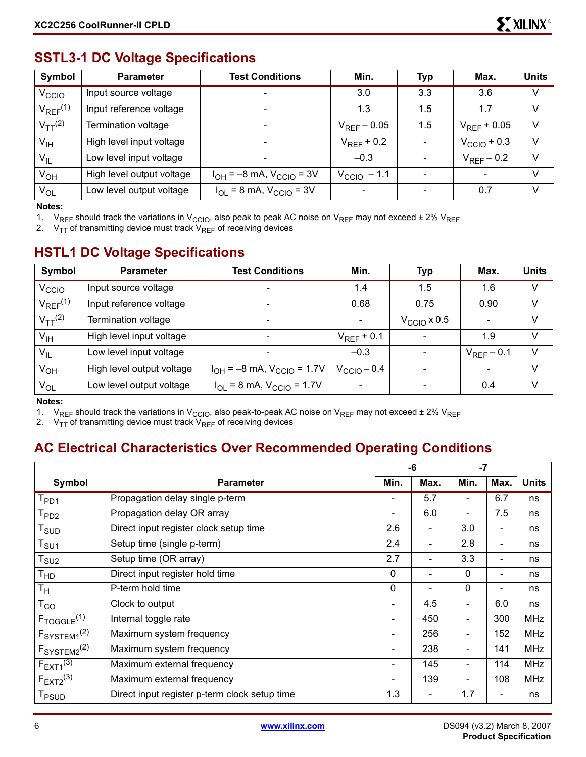#### **SSTL3-1 DC Voltage Specifications**

| Symbol                   | <b>Parameter</b>          | <b>Test Conditions</b>                                  | Min.                         | <b>Typ</b>                   | Max.                    | <b>Units</b> |
|--------------------------|---------------------------|---------------------------------------------------------|------------------------------|------------------------------|-------------------------|--------------|
| V <sub>CCIO</sub>        | Input source voltage      | $\overline{\phantom{0}}$                                | 3.0                          | 3.3                          | 3.6                     | V            |
| $V_{REF}$ <sup>(1)</sup> | Input reference voltage   | $\overline{\phantom{0}}$                                | 1.3                          | 1.5                          | 1.7                     | V            |
| $V_{TT}$ <sup>(2)</sup>  | Termination voltage       |                                                         | $V_{REF}$ – 0.05             | 1.5                          | $V_{RFF}$ + 0.05        | v            |
| $V_{\text{IH}}$          | High level input voltage  | $\overline{\phantom{0}}$                                | $V_{RFF}$ + 0.2              |                              | $V_{\text{CCIO}}$ + 0.3 | v            |
| $V_{IL}$                 | Low level input voltage   | $\overline{\phantom{0}}$                                | $-0.3$                       |                              | $V_{RFF}$ – 0.2         | V            |
| $V_{OH}$                 | High level output voltage | $I_{OH} = -8$ mA, $V_{CCIO} = 3V$                       | $V_{\text{CCIO}} - 1.1$      | $\qquad \qquad \blacksquare$ |                         | V            |
| $V_{OL}$                 | Low level output voltage  | $I_{\text{OI}} = 8 \text{ mA}$ , $V_{\text{CCIO}} = 3V$ | $\qquad \qquad \blacksquare$ | $\overline{\phantom{0}}$     | 0.7                     | v            |

#### **Notes:**

1. V<sub>REF</sub> should track the variations in V<sub>CCIO</sub>, also peak to peak AC noise on V<sub>REF</sub> may not exceed  $\pm 2\%$  V<sub>REF</sub>

2.  $V_{TT}$  of transmitting device must track  $V_{REF}$  of receiving devices

#### **HSTL1 DC Voltage Specifications**

| Symbol                   | <b>Parameter</b>          | <b>Test Conditions</b>              | Min.            | <b>Typ</b>           | Max.                     | <b>Units</b> |
|--------------------------|---------------------------|-------------------------------------|-----------------|----------------------|--------------------------|--------------|
| V <sub>CCIO</sub>        | Input source voltage      |                                     | 1.4             | 1.5                  | 1.6                      | V            |
| $V_{REF}$ <sup>(1)</sup> | Input reference voltage   |                                     | 0.68            | 0.75                 | 0.90                     | V            |
| $V_{TT}$ <sup>(2)</sup>  | Termination voltage       |                                     |                 | $V_{\rm CClO}$ x 0.5 | $\overline{\phantom{0}}$ | V            |
| $V_{\text{IH}}$          | High level input voltage  |                                     | $V_{RFF}$ + 0.1 |                      | 1.9                      | V            |
| $V_{IL}$                 | Low level input voltage   |                                     | $-0.3$          |                      | $V_{REF}$ – 0.1          | $\vee$       |
| $V_{OH}$                 | High level output voltage | $I_{OH} = -8$ mA, $V_{CCIO} = 1.7V$ | $VCClO - 0.4$   |                      | $\sim$                   | V            |
| $V_{OL}$                 | Low level output voltage  | $I_{OL}$ = 8 mA, $V_{CCIO}$ = 1.7V  |                 |                      | 0.4                      | V            |

#### **Notes:**

1. V<sub>REF</sub> should track the variations in V<sub>CCIO</sub>, also peak-to-peak AC noise on V<sub>REF</sub> may not exceed  $\pm 2\%$  V<sub>REF</sub>

2.  $V_{TT}$  of transmitting device must track  $V_{REF}$  of receiving devices

#### **AC Electrical Characteristics Over Recommended Operating Conditions**

|                                       |                                               |                          | -6                       | $-7$                     |                          |              |
|---------------------------------------|-----------------------------------------------|--------------------------|--------------------------|--------------------------|--------------------------|--------------|
| Symbol                                | <b>Parameter</b>                              | Min.                     | Max.                     | Min.                     | Max.                     | <b>Units</b> |
| T <sub>PD1</sub>                      | Propagation delay single p-term               |                          | 5.7                      | -                        | 6.7                      | ns           |
| T <sub>PD2</sub>                      | Propagation delay OR array                    | $\overline{\phantom{a}}$ | 6.0                      | $\overline{\phantom{a}}$ | 7.5                      | ns           |
| $T_{\scriptstyle\text{SUD}}$          | Direct input register clock setup time        | 2.6                      | $\overline{\phantom{a}}$ | 3.0                      | $\blacksquare$           | ns           |
| $\mathsf{T}_{\mathsf{S}\mathsf{U} 1}$ | Setup time (single p-term)                    | 2.4                      | $\overline{\phantom{0}}$ | 2.8                      |                          | ns           |
| $\mathsf{T}_{\textsf{SU2}}$           | Setup time (OR array)                         | 2.7                      |                          | 3.3                      | $\overline{\phantom{a}}$ | ns           |
| T <sub>HD</sub>                       | Direct input register hold time               | $\mathbf 0$              | $\overline{\phantom{0}}$ | $\mathbf{0}$             | ٠                        | ns           |
| Tн                                    | P-term hold time                              | 0                        | $\overline{\phantom{0}}$ | $\mathbf{0}$             | $\overline{\phantom{0}}$ | ns           |
| $T_{CO}$                              | Clock to output                               |                          | 4.5                      | $\overline{\phantom{a}}$ | 6.0                      | ns           |
| $F_{TOGGLE}$ <sup>(1)</sup>           | Internal toggle rate                          | $\overline{\phantom{a}}$ | 450                      | $\overline{\phantom{a}}$ | 300                      | <b>MHz</b>   |
| F <sub>SYSTEM1</sub> <sup>(2)</sup>   | Maximum system frequency                      | $\overline{\phantom{a}}$ | 256                      | $\overline{\phantom{a}}$ | 152                      | <b>MHz</b>   |
| $F_{\text{SYSTEM2}}^{(2)}$            | Maximum system frequency                      | $\overline{\phantom{a}}$ | 238                      | $\overline{\phantom{a}}$ | 141                      | <b>MHz</b>   |
| $F_{EXT1}^{(3)}$                      | Maximum external frequency                    | $\overline{\phantom{a}}$ | 145                      | $\overline{\phantom{a}}$ | 114                      | <b>MHz</b>   |
| $F_{EXT2}^{(3)}$                      | Maximum external frequency                    |                          | 139                      | ٠                        | 108                      | <b>MHz</b>   |
| T <sub>PSUD</sub>                     | Direct input register p-term clock setup time | 1.3                      |                          | 1.7                      |                          | ns           |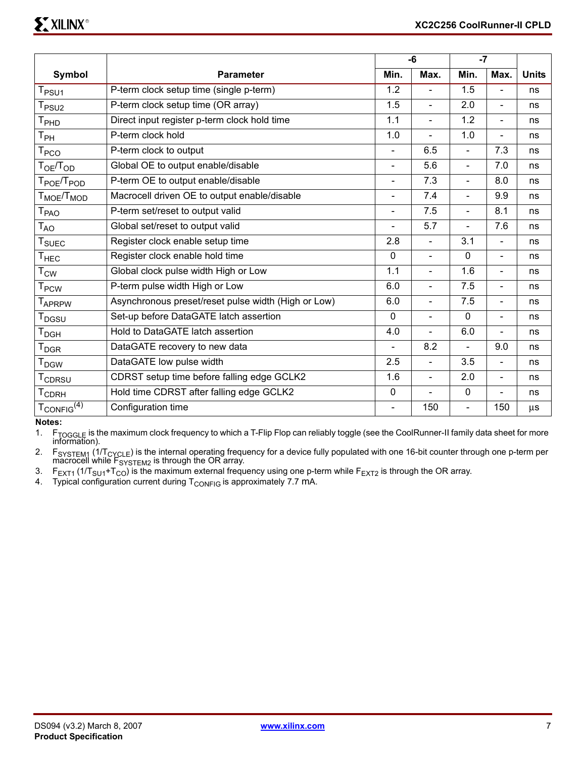|                                    |                                                     |                | $-6$           |                          |                          |              |
|------------------------------------|-----------------------------------------------------|----------------|----------------|--------------------------|--------------------------|--------------|
| Symbol                             | <b>Parameter</b>                                    | Min.           | Max.           | Min.                     | Max.                     | <b>Units</b> |
| T <sub>PSU1</sub>                  | P-term clock setup time (single p-term)             | 1.2            | $\overline{a}$ | 1.5                      | L.                       | ns           |
| $T_{PSU2}$                         | P-term clock setup time (OR array)                  | 1.5            | $\blacksquare$ | 2.0                      | $\overline{a}$           | ns           |
| T <sub>PHD</sub>                   | Direct input register p-term clock hold time        | 1.1            | $\blacksquare$ | 1.2                      | $\overline{a}$           | ns           |
| $\mathsf{T}_{\mathsf{PH}}$         | P-term clock hold                                   | 1.0            | $\blacksquare$ | 1.0                      | ÷.                       | ns           |
| <b>T<sub>PCO</sub></b>             | P-term clock to output                              |                | 6.5            | $\overline{\phantom{0}}$ | 7.3                      | ns           |
| T <sub>OE</sub> /T <sub>OD</sub>   | Global OE to output enable/disable                  | $\blacksquare$ | 5.6            | $\overline{a}$           | 7.0                      | ns           |
| T <sub>POE</sub> /T <sub>POD</sub> | P-term OE to output enable/disable                  | $\blacksquare$ | 7.3            | $\overline{a}$           | 8.0                      | ns           |
| $T_{\text{MOE}}/T_{\text{MOD}}$    | Macrocell driven OE to output enable/disable        | L,             | 7.4            | $\overline{a}$           | 9.9                      | ns           |
| $\mathsf{T}_{\mathsf{PAO}}$        | P-term set/reset to output valid                    | $\blacksquare$ | 7.5            | $\overline{a}$           | 8.1                      | ns           |
| $\mathsf{T}_{\mathsf{AO}}$         | Global set/reset to output valid                    | $\overline{a}$ | 5.7            | $\overline{a}$           | 7.6                      | ns           |
| <b>T</b> <sub>SUEC</sub>           | Register clock enable setup time                    | 2.8            | $\blacksquare$ | 3.1                      | $\overline{\phantom{0}}$ | ns           |
| $T_{HEC}$                          | Register clock enable hold time                     | $\mathbf{0}$   | $\blacksquare$ | $\mathbf 0$              | $\blacksquare$           | ns           |
| $T_{\text{CW}}$                    | Global clock pulse width High or Low                | 1.1            | $\overline{a}$ | 1.6                      | $\overline{a}$           | ns           |
| $T_{PCW}$                          | P-term pulse width High or Low                      | 6.0            | $\blacksquare$ | 7.5                      | $\overline{\phantom{0}}$ | ns           |
| T <sub>APRPW</sub>                 | Asynchronous preset/reset pulse width (High or Low) | 6.0            | $\blacksquare$ | 7.5                      | $\blacksquare$           | ns           |
| T <sub>DGSU</sub>                  | Set-up before DataGATE latch assertion              | $\Omega$       | $\blacksquare$ | $\mathbf 0$              | $\blacksquare$           | ns           |
| $T_{\mathsf{DGH}}$                 | Hold to DataGATE latch assertion                    | 4.0            | $\blacksquare$ | 6.0                      | $\overline{a}$           | ns           |
| $T_{DGR}$                          | DataGATE recovery to new data                       |                | 8.2            | $\overline{a}$           | 9.0                      | ns           |
| <b>T</b> <sub>DGW</sub>            | DataGATE low pulse width                            | 2.5            | $\blacksquare$ | 3.5                      | $\blacksquare$           | ns           |
| <b>TCDRSU</b>                      | CDRST setup time before falling edge GCLK2          | 1.6            | $\blacksquare$ | 2.0                      | $\blacksquare$           | ns           |
| <b>TCDRH</b>                       | Hold time CDRST after falling edge GCLK2            | $\mathbf 0$    |                | $\mathbf 0$              |                          | ns           |
| $T_{CONFIG}^{(4)}$                 | Configuration time                                  |                | 150            | $\blacksquare$           | 150                      | $\mu$ s      |

**Notes:** 

1. F<sub>TOGGLE</sub> is the maximum clock frequency to which a T-Flip Flop can reliably toggle (see the CoolRunner-II family data sheet for more<br>information).

2. F<sub>SYSTEM1</sub> (1/T<sub>CYCLE</sub>) is the internal operating frequency for a device fully populated with one 16-bit counter through one p-term per macrocell while  $F_{\text{SYSTEM2}}$  is through the OR array.

3. F<sub>EXT1</sub> (1/T<sub>SU1</sub>+T<sub>CO</sub>) is the maximum external frequency using one p-term while F<sub>EXT2</sub> is through the OR array.

4. Typical configuration current during  $T_{\text{CONFIG}}$  is approximately 7.7 mA.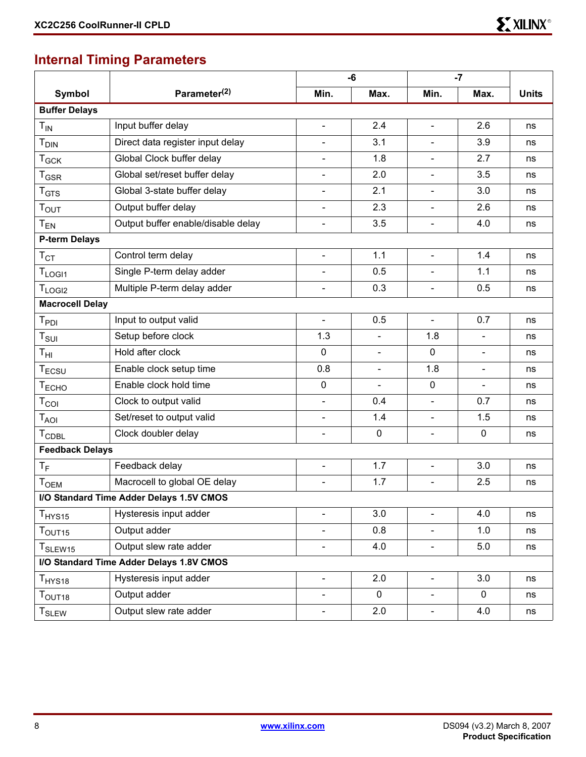#### ( **Internal Timing Parameters**

|                               |                                          | -6                       |             | $-7$                     |                |              |
|-------------------------------|------------------------------------------|--------------------------|-------------|--------------------------|----------------|--------------|
| <b>Symbol</b>                 | Parameter <sup>(2)</sup>                 | Min.                     | Max.        | Min.                     | Max.           | <b>Units</b> |
| <b>Buffer Delays</b>          |                                          |                          |             |                          |                |              |
| $T_{IN}$                      | Input buffer delay                       | $\blacksquare$           | 2.4         | $\blacksquare$           | 2.6            | ns           |
| <b>T</b> <sub>DIN</sub>       | Direct data register input delay         | $\overline{\phantom{a}}$ | 3.1         | $\blacksquare$           | 3.9            | ns           |
| $T_{GCK}$                     | Global Clock buffer delay                |                          | 1.8         | $\blacksquare$           | 2.7            | ns           |
| $T_{\mathsf{GSR}}$            | Global set/reset buffer delay            | $\overline{\phantom{a}}$ | 2.0         | $\blacksquare$           | 3.5            | ns           |
| $T_{\hbox{\scriptsize GTS}}$  | Global 3-state buffer delay              |                          | 2.1         |                          | 3.0            | ns           |
| $T_{\text{OUT}}$              | Output buffer delay                      | $\blacksquare$           | 2.3         | $\blacksquare$           | 2.6            | ns           |
| $T_{EN}$                      | Output buffer enable/disable delay       | $\blacksquare$           | 3.5         | $\blacksquare$           | 4.0            | ns           |
| <b>P-term Delays</b>          |                                          |                          |             |                          |                |              |
| $T_{\rm CT}$                  | Control term delay                       | $\blacksquare$           | 1.1         | $\blacksquare$           | 1.4            | ns           |
| $T_{LOGI1}$                   | Single P-term delay adder                |                          | 0.5         |                          | 1.1            | ns           |
| $T_{LOGI2}$                   | Multiple P-term delay adder              | $\blacksquare$           | 0.3         | $\blacksquare$           | 0.5            | ns           |
| <b>Macrocell Delay</b>        |                                          |                          |             |                          |                |              |
| $T_{PDI}$                     | Input to output valid                    | $\blacksquare$           | 0.5         | $\overline{\phantom{a}}$ | 0.7            | ns           |
| $T_{\textrm{SUI}}$            | Setup before clock                       | 1.3                      |             | 1.8                      | $\blacksquare$ | ns           |
| $T_{\rm HI}$                  | Hold after clock                         | 0                        | Ξ.          | $\mathbf 0$              | $\blacksquare$ | ns           |
| $T_{\scriptstyle\rm ECSU}$    | Enable clock setup time                  | 0.8                      |             | 1.8                      | $\blacksquare$ | ns           |
| T <sub>ECHO</sub>             | Enable clock hold time                   | 0                        |             | 0                        | $\blacksquare$ | ns           |
| $T_{COI}$                     | Clock to output valid                    | $\blacksquare$           | 0.4         | $\blacksquare$           | 0.7            | ns           |
| $T_{AOI}$                     | Set/reset to output valid                | $\blacksquare$           | 1.4         | $\blacksquare$           | 1.5            | ns           |
| $T_{\mathsf{CDBL}}$           | Clock doubler delay                      | $\blacksquare$           | $\mathbf 0$ | $\blacksquare$           | $\mathbf 0$    | ns           |
| <b>Feedback Delays</b>        |                                          |                          |             |                          |                |              |
| $T_F$                         | Feedback delay                           | $\overline{\phantom{a}}$ | 1.7         | $\blacksquare$           | 3.0            | ns           |
| T <sub>OEM</sub>              | Macrocell to global OE delay             |                          | 1.7         | $\blacksquare$           | 2.5            | ns           |
|                               | I/O Standard Time Adder Delays 1.5V CMOS |                          |             |                          |                |              |
| T <sub>HYS15</sub>            | Hysteresis input adder                   | $\blacksquare$           | 3.0         | $\blacksquare$           | 4.0            | ns           |
| $T_{\text{OUT15}}$            | Output adder                             |                          | 0.8         |                          | 1.0            | ns           |
| T <sub>SLEW15</sub>           | Output slew rate adder                   |                          | 4.0         | $\blacksquare$           | 5.0            | ns           |
|                               | I/O Standard Time Adder Delays 1.8V CMOS |                          |             |                          |                |              |
| $T_{HYS18}$                   | Hysteresis input adder                   | $\blacksquare$           | 2.0         | $\overline{\phantom{a}}$ | 3.0            | ns           |
| $\mathsf{T}_{\mathsf{OUT18}}$ | Output adder                             | $\blacksquare$           | 0           | $\blacksquare$           | 0              | ns           |
| <b>T</b> <sub>SLEW</sub>      | Output slew rate adder                   | ۰.                       | 2.0         | $\overline{\phantom{a}}$ | 4.0            | ns           |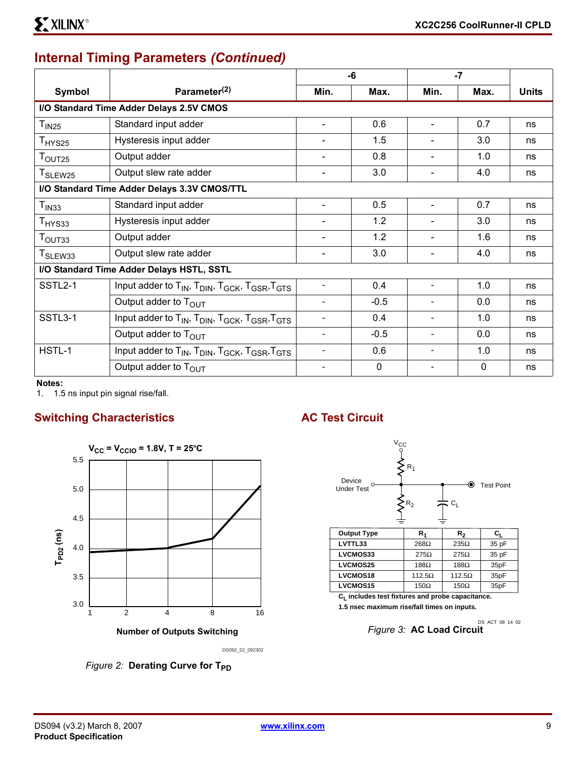#### **Internal Timing Parameters** *(Continued)*

|                     |                                                                                                            |                          | -6       |                          | $-7$     |              |
|---------------------|------------------------------------------------------------------------------------------------------------|--------------------------|----------|--------------------------|----------|--------------|
| Symbol              | Parameter <sup>(2)</sup>                                                                                   | Min.                     | Max.     | Min.                     | Max.     | <b>Units</b> |
|                     | I/O Standard Time Adder Delays 2.5V CMOS                                                                   |                          |          |                          |          |              |
| T <sub>IN25</sub>   | Standard input adder                                                                                       |                          | 0.6      | $\blacksquare$           | 0.7      | ns           |
| T <sub>HYS25</sub>  | Hysteresis input adder                                                                                     |                          | 1.5      |                          | 3.0      | ns           |
| T <sub>OUT25</sub>  | Output adder                                                                                               |                          | 0.8      | $\overline{\phantom{a}}$ | 1.0      | ns           |
| T <sub>SLEW25</sub> | Output slew rate adder                                                                                     |                          | 3.0      | $\blacksquare$           | 4.0      | ns           |
|                     | I/O Standard Time Adder Delays 3.3V CMOS/TTL                                                               |                          |          |                          |          |              |
| T <sub>IN33</sub>   | Standard input adder                                                                                       |                          | 0.5      |                          | 0.7      | ns           |
| T <sub>HYS33</sub>  | Hysteresis input adder                                                                                     |                          | 1.2      |                          | 3.0      | ns           |
| T <sub>OUT33</sub>  | Output adder                                                                                               |                          | 1.2      |                          | 1.6      | ns           |
| T <sub>SLEW33</sub> | Output slew rate adder                                                                                     |                          | 3.0      |                          | 4.0      | ns           |
|                     | I/O Standard Time Adder Delays HSTL, SSTL                                                                  |                          |          |                          |          |              |
| SSTL <sub>2-1</sub> | Input adder to $T_{IN}$ , $T_{DIN}$ , $T_{GCK}$ , $T_{GSR}$ , $T_{GTS}$                                    | $\overline{\phantom{a}}$ | 0.4      | $\blacksquare$           | 1.0      | ns           |
|                     | Output adder to T <sub>OUT</sub>                                                                           | $\overline{\phantom{0}}$ | $-0.5$   | $\overline{\phantom{a}}$ | 0.0      | ns           |
| SSTL3-1             | Input adder to T <sub>IN</sub> , T <sub>DIN</sub> , T <sub>GCK</sub> , T <sub>GSR</sub> , T <sub>GTS</sub> |                          | 0.4      | $\overline{\phantom{a}}$ | 1.0      | ns           |
|                     | Output adder to T <sub>OUT</sub>                                                                           |                          | $-0.5$   | $\overline{\phantom{a}}$ | 0.0      | ns           |
| HSTL-1              | Input adder to T <sub>IN</sub> , T <sub>DIN</sub> , T <sub>GCK</sub> , T <sub>GSR</sub> , T <sub>GTS</sub> |                          | 0.6      | $\overline{\phantom{a}}$ | 1.0      | ns           |
|                     | Output adder to $T_{\text{OUT}}$                                                                           |                          | $\Omega$ |                          | $\Omega$ | ns           |

**Notes:** 

1. 1.5 ns input pin signal rise/fall.

#### **Switching Characteristics AC Test Circuit**



DS092\_02\_092302

*Figure 2:* Derating Curve for T<sub>PD</sub>

**LVCMOS15**



**CL includes test fixtures and probe capacitance. 1.5 nsec maximum rise/fall times on inputs.**

 $150\Omega$ 

*Figure 3:* **AC Load Circuit** DS\_ACT\_08\_14\_02

 $150\Omega$ 

35pF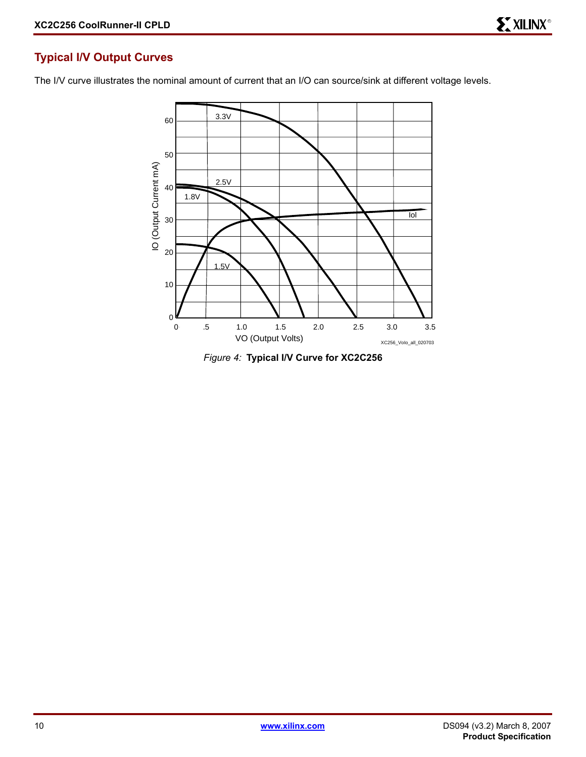#### **Typical I/V Output Curves**

The I/V curve illustrates the nominal amount of current that an I/O can source/sink at different voltage levels.



*Figure 4:* **Typical I/V Curve for XC2C256**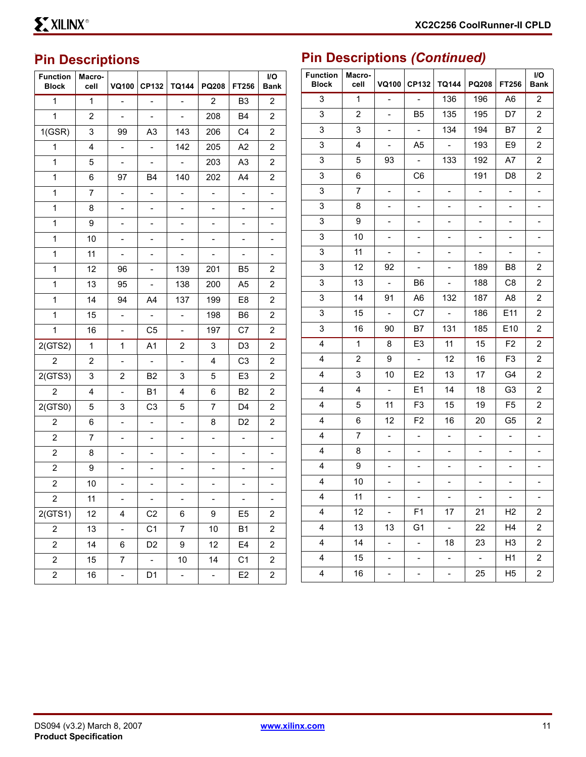#### **Pin Descriptions**

| <b>Function</b><br><b>Block</b> | Macro-<br>cell | <b>VQ100</b>                 | <b>CP132</b>              | <b>TQ144</b>             | PQ208                    | FT256                    | I/O<br><b>Bank</b>       |
|---------------------------------|----------------|------------------------------|---------------------------|--------------------------|--------------------------|--------------------------|--------------------------|
| 1                               | 1              |                              |                           |                          | $\overline{2}$           | B <sub>3</sub>           | $\overline{2}$           |
| $\mathbf{1}$                    | $\overline{c}$ | $\overline{\phantom{0}}$     | $\blacksquare$            | $\blacksquare$           | 208                      | B4                       | $\overline{2}$           |
| 1(GSR)                          | 3              | 99                           | A3                        | 143                      | 206                      | C4                       | 2                        |
| 1                               | 4              | $\overline{\phantom{0}}$     | $\overline{\phantom{0}}$  | 142                      | 205                      | A <sub>2</sub>           | $\overline{2}$           |
| 1                               | 5              | $\overline{\phantom{0}}$     | $\blacksquare$            | $\overline{\phantom{0}}$ | 203                      | A <sub>3</sub>           | $\overline{2}$           |
| 1                               | 6              | 97                           | B4                        | 140                      | 202                      | A4                       | 2                        |
| 1                               | 7              |                              |                           | $\overline{\phantom{0}}$ | $\overline{\phantom{0}}$ | $\overline{a}$           | $\overline{\phantom{0}}$ |
| 1                               | 8              | -                            | $\overline{\phantom{0}}$  | $\overline{\phantom{0}}$ | $\overline{\phantom{0}}$ | $\overline{\phantom{0}}$ | $\overline{\phantom{0}}$ |
| 1                               | 9              | -                            | $\overline{\phantom{0}}$  | $\overline{\phantom{0}}$ | $\overline{\phantom{0}}$ | $\frac{1}{2}$            | $\overline{\phantom{0}}$ |
| 1                               | 10             |                              |                           | -                        | -                        | -                        | -                        |
| 1                               | 11             | $\overline{\phantom{0}}$     | $\overline{\phantom{0}}$  | $\overline{\phantom{0}}$ | $\qquad \qquad -$        | $\qquad \qquad -$        | $\qquad \qquad -$        |
| 1                               | 12             | 96                           | $\overline{\phantom{0}}$  | 139                      | 201                      | B5                       | 2                        |
| 1                               | 13             | 95                           |                           | 138                      | 200                      | A5                       | $\overline{2}$           |
| 1                               | 14             | 94                           | A4                        | 137                      | 199                      | E8                       | $\overline{2}$           |
| 1                               | 15             | $\overline{\phantom{0}}$     | $\overline{\phantom{a}}$  | $\overline{\phantom{0}}$ | 198                      | B6                       | 2                        |
| 1                               | 16             | -                            | C <sub>5</sub>            | $\overline{\phantom{0}}$ | 197                      | C7                       | $\overline{c}$           |
| 2(GTS2)                         | 1              | 1                            | A <sub>1</sub>            | 2                        | 3                        | D <sub>3</sub>           | $\overline{c}$           |
| $\overline{c}$                  | $\overline{c}$ | $\overline{\phantom{0}}$     | $\frac{1}{2}$             | $\overline{\phantom{0}}$ | 4                        | C <sub>3</sub>           | 2                        |
| 2(GTS3)                         | 3              | $\overline{c}$               | B <sub>2</sub>            | 3                        | 5                        | E <sub>3</sub>           | $\overline{2}$           |
| $\overline{2}$                  | 4              | $\qquad \qquad \blacksquare$ | <b>B1</b>                 | 4                        | 6                        | <b>B2</b>                | $\overline{2}$           |
| 2(GTS0)                         | 5              | 3                            | C <sub>3</sub>            | 5                        | 7                        | D4                       | 2                        |
| 2                               | 6              |                              | $\overline{a}$            | $\overline{\phantom{0}}$ | 8                        | D <sub>2</sub>           | $\overline{c}$           |
| $\overline{c}$                  | 7              | -                            | $\overline{\phantom{0}}$  | $\overline{\phantom{0}}$ | $\overline{\phantom{0}}$ | $\overline{\phantom{0}}$ | $\overline{\phantom{0}}$ |
| 2                               | 8              | -                            | $\overline{a}$            | -                        | $\overline{\phantom{0}}$ | $\overline{\phantom{0}}$ | $\overline{\phantom{0}}$ |
| $\overline{c}$                  | 9              |                              |                           | $\overline{\phantom{0}}$ | -                        | $\overline{\phantom{0}}$ | $\overline{\phantom{0}}$ |
| 2                               | 10             | -                            | $\overline{\phantom{0}}$  | -                        | -                        | -                        | $\overline{\phantom{0}}$ |
| $\mathbf{z}$                    | 11             |                              | $\equiv$                  | ۳                        | -                        | $\blacksquare$           | $\blacksquare$           |
| 2(GTS1)                         | 12             | 4                            | C2                        | 6                        | 9                        | E <sub>5</sub>           | $\overline{c}$           |
| $\overline{2}$                  | 13             | $\overline{\phantom{a}}$     | C1                        | $\overline{7}$           | $10\,$                   | <b>B1</b>                | 2                        |
| $\overline{2}$                  | 14             | 6                            | D <sub>2</sub>            | 9                        | 12                       | E4                       | $\overline{c}$           |
| $\overline{c}$                  | 15             | 7                            | $\mathbb{L}^{\mathbb{N}}$ | 10                       | 14                       | C <sub>1</sub>           | $\overline{c}$           |
| $\overline{\mathbf{c}}$         | 16             | $\overline{\phantom{0}}$     | D1                        | $\blacksquare$           | $\blacksquare$           | E <sub>2</sub>           | 2                        |

# **Pin Descriptions** *(Continued)*

| <b>Function</b><br><b>Block</b> | Macro-<br>cell | <b>VQ100</b>             | <b>CP132</b>                | <b>TQ144</b>                 | PQ208                    | FT256                    | I/O<br><b>Bank</b>           |
|---------------------------------|----------------|--------------------------|-----------------------------|------------------------------|--------------------------|--------------------------|------------------------------|
| 3                               | 1              | $\overline{\phantom{0}}$ | $\frac{1}{2}$               | 136                          | 196                      | A6                       | 2                            |
| 3                               | 2              | $\overline{a}$           | B5                          | 135                          | 195                      | D7                       | $\overline{2}$               |
| 3                               | 3              | $\overline{\phantom{0}}$ | $\blacksquare$              | 134                          | 194                      | B7                       | 2                            |
| 3                               | 4              | $\overline{\phantom{0}}$ | A5                          | $\frac{1}{2}$                | 193                      | E9                       | 2                            |
| 3                               | 5              | 93                       | $\equiv$                    | 133                          | 192                      | Α7                       | 2                            |
| 3                               | 6              |                          | C6                          |                              | 191                      | D8                       | 2                            |
| 3                               | 7              | -                        | $\overline{\phantom{0}}$    | $\overline{\phantom{0}}$     | $\overline{\phantom{0}}$ | $\overline{a}$           | -                            |
| 3                               | 8              | -                        | $\overline{\phantom{0}}$    | $\qquad \qquad \blacksquare$ | $\frac{1}{2}$            | $\overline{\phantom{0}}$ | -                            |
| 3                               | 9              | -                        | $\overline{\phantom{0}}$    | $\overline{\phantom{0}}$     | -                        | -                        | -                            |
| 3                               | 10             |                          | -                           |                              | -                        |                          | -                            |
| 3                               | 11             | $\frac{1}{2}$            | $\overline{\phantom{0}}$    | $\qquad \qquad \blacksquare$ | $\blacksquare$           | $\blacksquare$           | ÷,                           |
| 3                               | 12             | 92                       | $\overline{\phantom{0}}$    | $\overline{\phantom{0}}$     | 189                      | B8                       | 2                            |
| 3                               | 13             | $\overline{\phantom{0}}$ | B6                          | $\overline{\phantom{0}}$     | 188                      | C8                       | 2                            |
| 3                               | 14             | 91                       | A6                          | 132                          | 187                      | A8                       | 2                            |
| 3                               | 15             | $\overline{\phantom{0}}$ | C7                          | $\overline{\phantom{a}}$     | 186                      | E11                      | 2                            |
| 3                               | 16             | 90                       | B7                          | 131                          | 185                      | E <sub>10</sub>          | 2                            |
| 4                               | 1              | 8                        | E <sub>3</sub>              | 11                           | 15                       | F <sub>2</sub>           | 2                            |
| 4                               | 2              | 9                        | $\blacksquare$              | 12                           | 16                       | F <sub>3</sub>           | 2                            |
| 4                               | 3              | 10                       | E <sub>2</sub>              | 13                           | 17                       | G4                       | 2                            |
| 4                               | 4              | $\overline{a}$           | E1                          | 14                           | 18                       | G <sub>3</sub>           | 2                            |
| 4                               | 5              | 11                       | F <sub>3</sub>              | 15                           | 19                       | F5                       | 2                            |
| 4                               | 6              | 12                       | F <sub>2</sub>              | 16                           | 20                       | G5                       | 2                            |
| 4                               | 7              | $\overline{\phantom{a}}$ | $\overline{\phantom{0}}$    | $\frac{1}{2}$                | $\overline{a}$           | $\overline{a}$           | -                            |
| 4                               | 8              | -                        | $\overline{\phantom{0}}$    | -                            | $\overline{\phantom{0}}$ |                          | -                            |
| 4                               | 9              |                          |                             |                              |                          |                          |                              |
| 4                               | 10             | $\overline{\phantom{0}}$ | -                           | $\overline{\phantom{0}}$     | $\overline{\phantom{0}}$ | -                        | -                            |
| 4                               | 11             |                          | $\blacksquare$              | $\blacksquare$               | $\overline{\phantom{a}}$ | $\pm$                    | $\qquad \qquad \blacksquare$ |
| 4                               | 12             | $\overline{a}$           | F <sub>1</sub>              | 17                           | 21                       | H <sub>2</sub>           | $\overline{\mathbf{c}}$      |
| $\overline{\mathbf{4}}$         | 13             | 13                       | G <sub>1</sub>              | $\mathbb{Z}^d$               | 22                       | H <sub>4</sub>           | $\overline{\mathbf{c}}$      |
| $\overline{\mathbf{4}}$         | 14             | $\overline{\phantom{0}}$ | $\mathcal{L}_{\mathcal{A}}$ | 18                           | 23                       | H <sub>3</sub>           | $\overline{c}$               |
| 4                               | 15             | $\overline{\phantom{a}}$ |                             | $\overline{a}$               | $\Box$                   | H1                       | 2                            |
| 4                               | $16\,$         | ÷,                       | ÷,                          | $\overline{\phantom{a}}$     | 25                       | H <sub>5</sub>           | $\overline{\mathbf{c}}$      |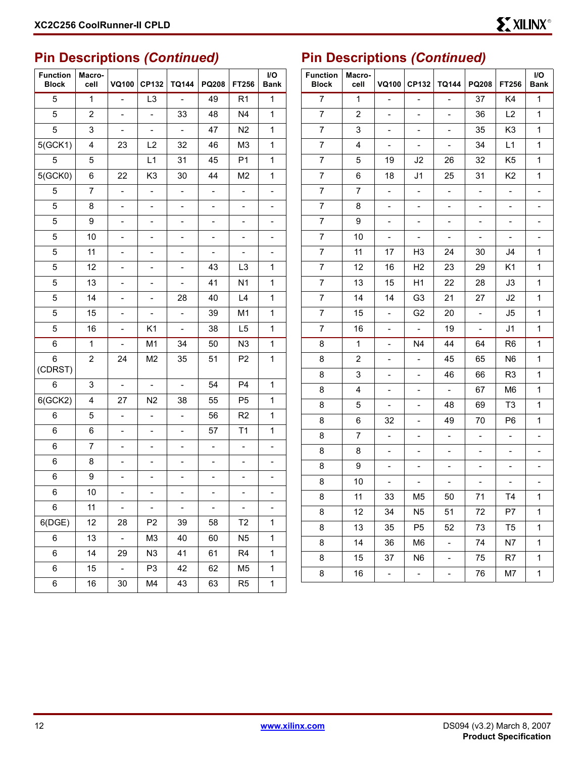### **Pin Descriptions** *(Continued)*

| <b>Function</b><br><b>Block</b> | Macro-<br>cell | <b>VQ100</b>                 | <b>CP132</b>                 | <b>TQ144</b>                 | PQ208                    | FT256                    | I/O<br><b>Bank</b>       |
|---------------------------------|----------------|------------------------------|------------------------------|------------------------------|--------------------------|--------------------------|--------------------------|
| 5                               | $\mathbf{1}$   | $\frac{1}{2}$                | L <sub>3</sub>               | $\overline{a}$               | 49                       | R <sub>1</sub>           | $\mathbf{1}$             |
| 5                               | 2              | $\overline{\phantom{0}}$     | $\blacksquare$               | 33                           | 48                       | N4                       | 1                        |
| 5                               | 3              |                              | $\overline{\phantom{0}}$     | $\overline{a}$               | 47                       | N <sub>2</sub>           | 1                        |
| 5(GCK1)                         | 4              | 23                           | L2                           | 32                           | 46                       | M <sub>3</sub>           | 1                        |
| 5                               | 5              |                              | L1                           | 31                           | 45                       | P <sub>1</sub>           | 1                        |
| 5(GCKO)                         | 6              | 22                           | K <sub>3</sub>               | 30                           | 44                       | M <sub>2</sub>           | 1                        |
| 5                               | 7              | $\overline{a}$               | $\qquad \qquad \blacksquare$ | $\qquad \qquad \blacksquare$ | $\overline{\phantom{0}}$ | $\overline{\phantom{0}}$ | $\overline{\phantom{0}}$ |
| 5                               | 8              | -                            | $\overline{\phantom{0}}$     | $\qquad \qquad \blacksquare$ | $\overline{\phantom{0}}$ | $\overline{\phantom{0}}$ | $\overline{\phantom{0}}$ |
| 5                               | 9              |                              |                              | -                            |                          | $\overline{\phantom{0}}$ | -                        |
| 5                               | 10             |                              |                              | -                            | -                        | $\overline{\phantom{0}}$ | -                        |
| 5                               | 11             | -                            | $\overline{\phantom{0}}$     | $\overline{\phantom{0}}$     | $\overline{\phantom{0}}$ | $\overline{\phantom{0}}$ | $\overline{\phantom{0}}$ |
| 5                               | 12             |                              |                              | $\overline{\phantom{0}}$     | 43                       | L <sub>3</sub>           | 1                        |
| 5                               | 13             |                              |                              | $\overline{\phantom{0}}$     | 41                       | N <sub>1</sub>           | 1                        |
| 5                               | 14             | -                            | $\overline{\phantom{0}}$     | 28                           | 40                       | L4                       | $\mathbf 1$              |
| 5                               | 15             |                              |                              | $\overline{\phantom{0}}$     | 39                       | M1                       | 1                        |
| 5                               | 16             | -                            | K1                           | $\qquad \qquad \blacksquare$ | 38                       | L <sub>5</sub>           | 1                        |
| 6                               | $\mathbf{1}$   | $\overline{\phantom{0}}$     | M1                           | 34                           | 50                       | N <sub>3</sub>           | $\mathbf{1}$             |
| 6<br>(CDRST)                    | $\overline{c}$ | 24                           | M <sub>2</sub>               | 35                           | 51                       | P <sub>2</sub>           | 1                        |
| 6                               | 3              | $\overline{\phantom{a}}$     | $\blacksquare$               | $\overline{\phantom{0}}$     | 54                       | P <sub>4</sub>           | $\mathbf{1}$             |
| 6(GCK2)                         | 4              | 27                           | N2                           | 38                           | 55                       | P <sub>5</sub>           | $\mathbf{1}$             |
| 6                               | 5              | $\overline{\phantom{0}}$     | $\overline{a}$               | $\overline{a}$               | 56                       | R <sub>2</sub>           | 1                        |
| 6                               | 6              | $\qquad \qquad \blacksquare$ | $\overline{\phantom{0}}$     | $\overline{\phantom{0}}$     | 57                       | T1                       | $\mathbf 1$              |
| 6                               | 7              | -                            |                              | -                            | $\overline{\phantom{0}}$ | $\overline{\phantom{0}}$ | $\overline{\phantom{0}}$ |
| 6                               | 8              | -                            | $\overline{a}$               | $\overline{\phantom{0}}$     | -                        | $\overline{\phantom{0}}$ | $\overline{\phantom{0}}$ |
| 6                               | 9              | -                            |                              | -                            | -                        | -                        | $\overline{\phantom{0}}$ |
| 6                               | 10             |                              |                              |                              |                          |                          | $\overline{\phantom{0}}$ |
| 6                               | 11             | $\overline{\phantom{0}}$     | $\overline{\phantom{0}}$     | $\overline{\phantom{0}}$     | $\overline{\phantom{0}}$ | $\overline{\phantom{0}}$ | $\overline{a}$           |
| 6(DGE)                          | 12             | 28                           | P <sub>2</sub>               | 39                           | 58                       | T <sub>2</sub>           | $\mathbf{1}$             |
| 6                               | 13             | $\blacksquare$               | M3                           | 40                           | 60                       | N <sub>5</sub>           | $\mathbf 1$              |
| 6                               | 14             | 29                           | N <sub>3</sub>               | 41                           | 61                       | R <sub>4</sub>           | $\mathbf{1}$             |
| 6                               | 15             | $\blacksquare$               | P <sub>3</sub>               | 42                           | 62                       | M5                       | $\mathbf 1$              |
| 6                               | 16             | 30                           | M4                           | 43                           | 63                       | R <sub>5</sub>           | $\mathbf 1$              |

# **Pin Descriptions** *(Continued)*

| <b>Function</b><br><b>Block</b> | Macro-<br>cell | <b>VQ100</b>                 | CP132                    | <b>TQ144</b>                 | PQ208                        | FT256                    | I/O<br><b>Bank</b>       |
|---------------------------------|----------------|------------------------------|--------------------------|------------------------------|------------------------------|--------------------------|--------------------------|
| $\overline{7}$                  | 1              | $\overline{\phantom{0}}$     | $\overline{\phantom{0}}$ |                              | 37                           | K4                       | 1                        |
| $\overline{7}$                  | $\overline{2}$ | $\overline{\phantom{a}}$     | $\overline{\phantom{0}}$ | $\frac{1}{2}$                | 36                           | L2                       | 1                        |
| $\overline{7}$                  | 3              | $\overline{\phantom{0}}$     | $\overline{\phantom{0}}$ | $\overline{\phantom{0}}$     | 35                           | K <sub>3</sub>           | 1                        |
| 7                               | 4              | $\overline{\phantom{0}}$     | $\overline{a}$           |                              | 34                           | L1                       | 1                        |
| 7                               | 5              | 19                           | J2                       | 26                           | 32                           | K5                       | 1                        |
| $\overline{7}$                  | 6              | 18                           | J1                       | 25                           | 31                           | K2                       | 1                        |
| 7                               | 7              | $\qquad \qquad \blacksquare$ | $\overline{a}$           | $\overline{\phantom{0}}$     | $\qquad \qquad \blacksquare$ |                          | -                        |
| 7                               | 8              | $\frac{1}{2}$                | $\overline{\phantom{0}}$ | $\qquad \qquad \blacksquare$ | $\overline{\phantom{0}}$     | $\overline{\phantom{0}}$ | -                        |
| $\overline{7}$                  | 9              | $\overline{\phantom{0}}$     | $\overline{\phantom{0}}$ | $\overline{\phantom{0}}$     | $\overline{\phantom{0}}$     | $\overline{\phantom{0}}$ | -                        |
| 7                               | 10             | -                            | $\overline{a}$           | -                            | $\frac{1}{2}$                | $\overline{a}$           | -                        |
| 7                               | 11             | 17                           | H3                       | 24                           | 30                           | J4                       | 1                        |
| 7                               | 12             | 16                           | H <sub>2</sub>           | 23                           | 29                           | K1                       | 1                        |
| 7                               | 13             | 15                           | H1                       | 22                           | 28                           | J3                       | 1                        |
| 7                               | 14             | 14                           | G <sub>3</sub>           | 21                           | 27                           | J2                       | 1                        |
| 7                               | 15             | $\qquad \qquad \blacksquare$ | G <sub>2</sub>           | 20                           | $\overline{\phantom{0}}$     | J5                       | 1                        |
| 7                               | 16             | -                            | $\overline{\phantom{0}}$ | 19                           | $\overline{\phantom{0}}$     | J1                       | 1                        |
| 8                               | 1              | $\frac{1}{2}$                | N4                       | 44                           | 64                           | R <sub>6</sub>           | 1                        |
| 8                               | 2              | $\overline{a}$               | $\overline{\phantom{0}}$ | 45                           | 65                           | N <sub>6</sub>           | 1                        |
| 8                               | 3              | $\overline{\phantom{0}}$     | $\overline{a}$           | 46                           | 66                           | R <sub>3</sub>           | 1                        |
| 8                               | 4              | $\frac{1}{2}$                | $\overline{\phantom{0}}$ | $\Box$                       | 67                           | M6                       | 1                        |
| 8                               | 5              | $\overline{\phantom{0}}$     | $\overline{a}$           | 48                           | 69                           | T <sub>3</sub>           | 1                        |
| 8                               | 6              | 32                           | -                        | 49                           | 70                           | P <sub>6</sub>           | 1                        |
| 8                               | 7              | $\overline{a}$               | $\overline{\phantom{0}}$ | $\frac{1}{2}$                | $\overline{a}$               | $\overline{a}$           | $\overline{\phantom{0}}$ |
| 8                               | 8              | -                            | $\overline{a}$           | -                            | $\overline{\phantom{0}}$     |                          | -                        |
| 8                               | 9              |                              |                          |                              |                              |                          |                          |
| 8                               | 10             | $\overline{\phantom{0}}$     | -                        | $\overline{\phantom{0}}$     | $\qquad \qquad -$            | $\overline{\phantom{0}}$ | -                        |
| 8                               | 11             | 33                           | M5                       | 50                           | 71                           | 14                       | 1                        |
| 8                               | 12             | 34                           | N <sub>5</sub>           | 51                           | 72                           | P7                       | 1                        |
| 8                               | 13             | 35                           | P <sub>5</sub>           | 52                           | 73                           | T <sub>5</sub>           | 1                        |
| 8                               | 14             | 36                           | M <sub>6</sub>           | $\overline{\phantom{0}}$     | 74                           | N7                       | 1                        |
| 8                               | 15             | 37                           | N <sub>6</sub>           | -                            | 75                           | R7                       | 1                        |
| 8                               | 16             | $\mathbb{L}$                 | $\overline{\phantom{a}}$ | -                            | 76                           | M7                       | 1                        |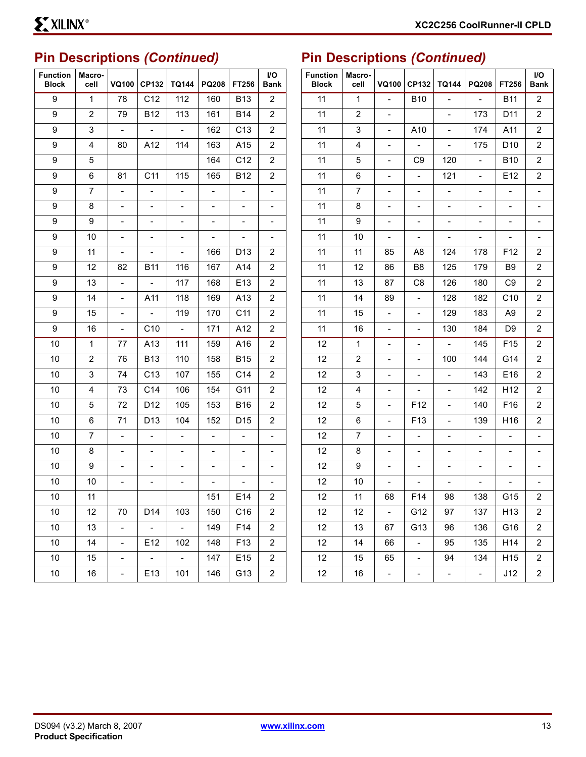# **Pin Descriptions** *(Continued)*

| <b>Function</b><br><b>Block</b> | Macro-<br>cell | VQ100                    | <b>CP132</b>             | <b>TQ144</b>                 | <b>PQ208</b>             | FT256                    | I/O<br>Bank              |
|---------------------------------|----------------|--------------------------|--------------------------|------------------------------|--------------------------|--------------------------|--------------------------|
| 9                               | $\mathbf{1}$   | 78                       | C12                      | 112                          | 160                      | <b>B13</b>               | 2                        |
| 9                               | 2              | 79                       | <b>B12</b>               | 113                          | 161                      | B14                      | 2                        |
| 9                               | 3              | $\overline{\phantom{a}}$ | $\overline{a}$           | $\overline{a}$               | 162                      | C <sub>13</sub>          | 2                        |
| 9                               | 4              | 80                       | A12                      | 114                          | 163                      | A15                      | 2                        |
| 9                               | 5              |                          |                          |                              | 164                      | C <sub>12</sub>          | 2                        |
| 9                               | 6              | 81                       | C11                      | 115                          | 165                      | <b>B12</b>               | 2                        |
| 9                               | 7              | $\overline{\phantom{0}}$ | $\frac{1}{2}$            | $\overline{\phantom{0}}$     | $\blacksquare$           | $\overline{\phantom{0}}$ | $\overline{\phantom{0}}$ |
| 9                               | 8              | $\overline{\phantom{0}}$ | $\overline{\phantom{0}}$ | $\overline{\phantom{0}}$     | $\overline{\phantom{0}}$ | $\overline{\phantom{0}}$ | $\overline{\phantom{0}}$ |
| 9                               | 9              |                          |                          |                              |                          |                          | -                        |
| 9                               | 10             | -                        | $\overline{\phantom{0}}$ | $\overline{\phantom{0}}$     | $\Box$                   | $\blacksquare$           | $\overline{\phantom{0}}$ |
| 9                               | 11             | -                        | $\overline{\phantom{0}}$ | $\overline{\phantom{0}}$     | 166                      | D <sub>13</sub>          | 2                        |
| 9                               | 12             | 82                       | B11                      | 116                          | 167                      | A14                      | 2                        |
| 9                               | 13             | $\overline{\phantom{0}}$ | $\blacksquare$           | 117                          | 168                      | E <sub>13</sub>          | 2                        |
| 9                               | 14             | -                        | A11                      | 118                          | 169                      | A13                      | 2                        |
| 9                               | 15             |                          | $\overline{a}$           | 119                          | 170                      | C11                      | 2                        |
| 9                               | 16             | $\overline{\phantom{0}}$ | C <sub>10</sub>          | $\sim$                       | 171                      | A12                      | 2                        |
| 10                              | 1              | 77                       | A13                      | 111                          | 159                      | A16                      | 2                        |
| 10                              | 2              | 76                       | <b>B13</b>               | 110                          | 158                      | <b>B15</b>               | 2                        |
| 10                              | 3              | 74                       | C <sub>13</sub>          | 107                          | 155                      | C14                      | 2                        |
| 10                              | 4              | 73                       | C <sub>14</sub>          | 106                          | 154                      | G11                      | 2                        |
| 10                              | 5              | 72                       | D12                      | 105                          | 153                      | B16                      | 2                        |
| 10                              | 6              | 71                       | D <sub>13</sub>          | 104                          | 152                      | D15                      | 2                        |
| 10                              | $\overline{7}$ | $\overline{\phantom{0}}$ | $\overline{\phantom{a}}$ | $\qquad \qquad \blacksquare$ | $\overline{\phantom{0}}$ | $\overline{\phantom{0}}$ | $\overline{\phantom{0}}$ |
| 10                              | 8              |                          |                          |                              |                          |                          |                          |
| 10                              | 9              | -                        | $\overline{\phantom{0}}$ | $\overline{\phantom{0}}$     | $\overline{\phantom{0}}$ | $\overline{\phantom{0}}$ | -                        |
| 10                              | 10             | -                        |                          | $\overline{\phantom{0}}$     | $\overline{a}$           | $\overline{\phantom{0}}$ | $\overline{\phantom{0}}$ |
| 10                              | 11             |                          |                          |                              | 151                      | E14                      | 2                        |
| 10                              | 12             | 70                       | D14                      | 103                          | 150                      | C <sub>16</sub>          | 2                        |
| 10                              | 13             | $\overline{\phantom{0}}$ | $\overline{\phantom{a}}$ | $\omega$                     | 149                      | F14                      | $\overline{\mathbf{c}}$  |
| 10                              | 14             | $\overline{\phantom{0}}$ | E12                      | 102                          | 148                      | F13                      | 2                        |
| 10                              | 15             | $\overline{\phantom{0}}$ | $\mathbb{Z}^2$           | $\sim$                       | 147                      | E15                      | 2                        |
| 10                              | 16             | $\overline{\phantom{0}}$ | E13                      | 101                          | 146                      | G13                      | 2                        |

# **Pin Descriptions** *(Continued)*

| <b>Function</b><br><b>Block</b> | Macro-<br>cell | VQ100                    | CP132                        | <b>TQ144</b>             | <b>PQ208</b>             | FT256                    | I/O<br>Bank              |
|---------------------------------|----------------|--------------------------|------------------------------|--------------------------|--------------------------|--------------------------|--------------------------|
| 11                              | 1              | $\overline{a}$           | <b>B10</b>                   |                          | $\overline{\phantom{0}}$ | <b>B11</b>               | 2                        |
| 11                              | 2              | $\overline{\phantom{0}}$ |                              |                          | 173                      | D <sub>11</sub>          | 2                        |
| 11                              | 3              |                          | A10                          |                          | 174                      | A11                      | 2                        |
| 11                              | 4              | $\overline{\phantom{0}}$ | $\blacksquare$               |                          | 175                      | D10                      | 2                        |
| 11                              | 5              | $\overline{\phantom{0}}$ | C9                           | 120                      | $\overline{\phantom{0}}$ | B10                      | 2                        |
| 11                              | 6              |                          | $\qquad \qquad \blacksquare$ | 121                      | -                        | E12                      | 2                        |
| 11                              | 7              | $\overline{a}$           | $\overline{\phantom{0}}$     | $\overline{\phantom{0}}$ | $\overline{\phantom{0}}$ | $\overline{a}$           | $\overline{\phantom{0}}$ |
| 11                              | 8              | $\overline{\phantom{0}}$ | $\blacksquare$               | $\overline{\phantom{0}}$ | $\overline{\phantom{0}}$ | $\overline{\phantom{0}}$ | $\overline{\phantom{0}}$ |
| 11                              | 9              |                          | $\overline{\phantom{0}}$     |                          | -                        |                          | $\overline{\phantom{0}}$ |
| 11                              | 10             | $\overline{\phantom{0}}$ | $\overline{\phantom{0}}$     | -                        | $\overline{\phantom{0}}$ | $\overline{\phantom{0}}$ | $\overline{\phantom{0}}$ |
| 11                              | 11             | 85                       | A8                           | 124                      | 178                      | F <sub>12</sub>          | 2                        |
| 11                              | 12             | 86                       | B8                           | 125                      | 179                      | B9                       | 2                        |
| 11                              | 13             | 87                       | C8                           | 126                      | 180                      | C <sub>9</sub>           | 2                        |
| 11                              | 14             | 89                       | $\overline{\phantom{0}}$     | 128                      | 182                      | C10                      | 2                        |
| 11                              | 15             | -                        | $\overline{\phantom{0}}$     | 129                      | 183                      | A9                       | 2                        |
| 11                              | 16             | $\overline{\phantom{0}}$ | $\overline{\phantom{0}}$     | 130                      | 184                      | D9                       | 2                        |
| 12                              | 1              | -                        | $\overline{\phantom{0}}$     | $\omega$                 | 145                      | F <sub>15</sub>          | 2                        |
| 12                              | 2              |                          | $\overline{\phantom{0}}$     | 100                      | 144                      | G14                      | 2                        |
| 12                              | 3              | -                        | $\overline{\phantom{0}}$     |                          | 143                      | E16                      | 2                        |
| 12                              | 4              | $\overline{\phantom{0}}$ | $\overline{\phantom{0}}$     | $\overline{\phantom{0}}$ | 142                      | H12                      | 2                        |
| 12                              | 5              |                          | F12                          |                          | 140                      | F16                      | 2                        |
| 12                              | 6              | $\overline{\phantom{0}}$ | F <sub>13</sub>              |                          | 139                      | H16                      | 2                        |
| 12                              | 7              | $\overline{\phantom{0}}$ | $\blacksquare$               | $\overline{\phantom{0}}$ | $\overline{\phantom{0}}$ | $\overline{\phantom{0}}$ | $\overline{\phantom{0}}$ |
| 12                              | 8              |                          |                              |                          | -                        |                          |                          |
| 12                              | 9              |                          |                              |                          | $\overline{\phantom{0}}$ |                          | -                        |
| 12                              | 10             | -                        | $\overline{\phantom{0}}$     | $\overline{\phantom{0}}$ | $\overline{\phantom{0}}$ | $\overline{\phantom{0}}$ | $\overline{\phantom{0}}$ |
| 12                              | 11             | 68                       | F14                          | 98                       | 138                      | G15                      | $\overline{\mathbf{c}}$  |
| 12                              | 12             | $\overline{a}$           | G12                          | 97                       | 137                      | H13                      | 2                        |
| 12                              | 13             | 67                       | G13                          | 96                       | 136                      | G16                      | 2                        |
| 12                              | 14             | 66                       | -                            | 95                       | 135                      | H14                      | 2                        |
| 12                              | 15             | 65                       | -                            | 94                       | 134                      | H15                      | 2                        |
| 12                              | 16             | $\overline{\phantom{a}}$ | $\overline{\phantom{a}}$     | $\Box$                   | $\Box$                   | J12                      | 2                        |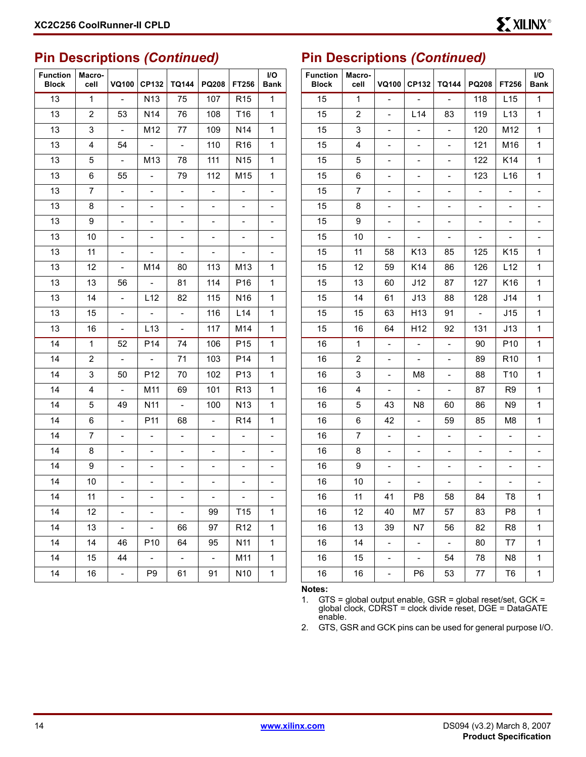#### **Pin Descriptions** *(Continued)*

| <b>Function</b><br><b>Block</b> | Macro-<br>cell | VQ100                        | CP132                    | <b>TQ144</b>                 | PQ208                       | FT256                        | I/O<br><b>Bank</b>       |
|---------------------------------|----------------|------------------------------|--------------------------|------------------------------|-----------------------------|------------------------------|--------------------------|
| 13                              | $\mathbf{1}$   | $\blacksquare$               | N <sub>13</sub>          | 75                           | 107                         | R <sub>15</sub>              | 1                        |
| 13                              | 2              | 53                           | N <sub>14</sub>          | 76                           | 108                         | T16                          | 1                        |
| 13                              | 3              | $\blacksquare$               | M12                      | 77                           | 109                         | N <sub>14</sub>              | 1                        |
| 13                              | 4              | 54                           | $\blacksquare$           | $\overline{\phantom{0}}$     | 110                         | R <sub>16</sub>              | 1                        |
| 13                              | 5              | $\blacksquare$               | M <sub>13</sub>          | 78                           | 111                         | N <sub>15</sub>              | 1                        |
| 13                              | 6              | 55                           | $\overline{\phantom{a}}$ | 79                           | 112                         | M <sub>15</sub>              | 1                        |
| 13                              | 7              | $\qquad \qquad \blacksquare$ | $\overline{\phantom{0}}$ | $\qquad \qquad \blacksquare$ | $\overline{\phantom{0}}$    | $\qquad \qquad \blacksquare$ | $\overline{\phantom{0}}$ |
| 13                              | 8              | $\overline{\phantom{0}}$     | $\overline{\phantom{0}}$ | $\overline{\phantom{0}}$     | $\overline{\phantom{0}}$    | $\overline{\phantom{0}}$     | $\overline{\phantom{0}}$ |
| 13                              | 9              | -                            | $\overline{\phantom{0}}$ | $\overline{\phantom{0}}$     | $\overline{\phantom{0}}$    | $\frac{1}{2}$                | $\overline{\phantom{0}}$ |
| 13                              | 10             | -                            | $\overline{\phantom{0}}$ | $\overline{\phantom{0}}$     | $\overline{\phantom{0}}$    | $\overline{\phantom{0}}$     | $\overline{\phantom{0}}$ |
| 13                              | 11             | $\overline{\phantom{0}}$     | $\blacksquare$           | $\overline{\phantom{a}}$     | $\overline{\phantom{0}}$    | $\blacksquare$               | $\overline{\phantom{0}}$ |
| 13                              | 12             | $\overline{\phantom{0}}$     | M14                      | 80                           | 113                         | M13                          | 1                        |
| 13                              | 13             | 56                           | $\overline{\phantom{a}}$ | 81                           | 114                         | P <sub>16</sub>              | 1                        |
| 13                              | 14             | $\overline{\phantom{0}}$     | L12                      | 82                           | 115                         | N <sub>16</sub>              | 1                        |
| 13                              | 15             | -                            | $\frac{1}{2}$            | $\overline{a}$               | 116                         | L14                          | 1                        |
| 13                              | 16             | $\overline{\phantom{0}}$     | L <sub>13</sub>          | $\frac{1}{2}$                | 117                         | M14                          | 1                        |
| 14                              | 1              | 52                           | P <sub>14</sub>          | 74                           | 106                         | P <sub>15</sub>              | 1                        |
| 14                              | $\overline{2}$ | $\overline{a}$               | $\frac{1}{2}$            | 71                           | 103                         | P14                          | 1                        |
| 14                              | 3              | 50                           | P <sub>12</sub>          | 70                           | 102                         |                              | 1                        |
| 14                              | 4              | $\overline{\phantom{a}}$     | M11                      | 69                           | 101                         | R <sub>13</sub>              | 1                        |
| 14                              | 5              | 49                           | N <sub>11</sub>          | $\overline{a}$               | 100                         | N <sub>13</sub>              | 1                        |
| 14                              | 6              | $\frac{1}{2}$                | P11                      | 68                           | $\overline{\phantom{0}}$    | R <sub>14</sub>              | 1                        |
| 14                              | 7              | $\overline{\phantom{0}}$     | $\overline{\phantom{0}}$ | $\overline{\phantom{a}}$     | $\overline{\phantom{0}}$    | $\overline{\phantom{0}}$     | $\overline{\phantom{0}}$ |
| 14                              | 8              | -                            | $\overline{\phantom{0}}$ | $\overline{\phantom{0}}$     |                             | $\overline{\phantom{0}}$     | $\overline{\phantom{0}}$ |
| 14                              | 9              |                              |                          | -                            |                             | -                            | -                        |
| 14                              | 10             | $\overline{\phantom{0}}$     | $\overline{\phantom{0}}$ | $\overline{\phantom{0}}$     | $\overline{\phantom{0}}$    | $\overline{\phantom{a}}$     | Ξ.                       |
| 14                              | 11             |                              |                          |                              | $\sim$                      | $\sim$                       |                          |
| 14                              | 12             | -                            | $\blacksquare$           | $\Box$                       | 99                          | T <sub>15</sub>              | 1                        |
| 14                              | 13             | $\blacksquare$               | ÷.                       | 66                           | 97                          | R <sub>12</sub>              | $\mathbf 1$              |
| 14                              | 14             | 46                           | P <sub>10</sub>          | 64                           | 95                          | N <sub>11</sub>              | 1                        |
| 14                              | 15             | 44                           | $\pm$                    | $\mathbb{Z}$                 | $\mathcal{L}_{\mathcal{C}}$ | M11                          | 1                        |
| 14                              | 16             | $\pm$                        | P <sub>9</sub>           | 61                           | 91                          | N <sub>10</sub>              | $\mathbf 1$              |

#### **Pin Descriptions** *(Continued)*

| <b>Function</b><br><b>Block</b> | Macro-<br>cell | <b>VQ100</b>             | CP132                       | <b>TQ144</b>                 | PQ208                        | I/O<br>Bank                  |                          |
|---------------------------------|----------------|--------------------------|-----------------------------|------------------------------|------------------------------|------------------------------|--------------------------|
| 15                              | $\mathbf{1}$   | $\overline{a}$           | $\overline{\phantom{a}}$    | $\overline{a}$               | 118                          | L15                          | 1                        |
| 15                              | 2              | $\overline{\phantom{0}}$ | L <sub>14</sub>             | 83                           | 119                          | L <sub>13</sub>              | 1                        |
| 15                              | 3              | -                        |                             |                              | 120                          | M12                          | 1                        |
| 15                              | 4              | $\overline{\phantom{0}}$ | $\overline{\phantom{0}}$    | $\overline{\phantom{0}}$     | 121                          | M16                          | 1                        |
| 15                              | 5              | $\overline{\phantom{0}}$ | $\blacksquare$              | $\overline{\phantom{0}}$     | 122                          | K14                          | 1                        |
| 15                              | 6              | -                        | -                           |                              | 123                          | L <sub>16</sub>              | 1                        |
| 15                              | 7              | $\overline{\phantom{0}}$ | $\overline{\phantom{0}}$    | $\overline{\phantom{0}}$     | $\qquad \qquad \blacksquare$ | $\overline{\phantom{0}}$     | $\overline{\phantom{0}}$ |
| 15                              | 8              | $\overline{\phantom{0}}$ | $\blacksquare$              | $\overline{\phantom{0}}$     | $\overline{\phantom{0}}$     | $\overline{\phantom{0}}$     | $\overline{\phantom{0}}$ |
| 15                              | 9              | -                        | -                           | -                            | $\overline{\phantom{0}}$     | -                            | $\overline{\phantom{0}}$ |
| 15                              | 10             | $\overline{\phantom{0}}$ | $\overline{\phantom{0}}$    | $\qquad \qquad \blacksquare$ | $\overline{\phantom{0}}$     | $\overline{\phantom{0}}$     | $\overline{\phantom{0}}$ |
| 15                              | 11             | 58                       | K13                         | 85                           | 125                          | K <sub>15</sub>              | 1                        |
| 15                              | 12             | 59                       | K14                         | 86                           | 126                          | L12                          | 1                        |
| 15                              | 13             | 60                       | J12                         | 87                           | 127                          | K <sub>16</sub>              | 1                        |
| 15                              | 14             |                          | J13                         | 88                           | 128                          | J14                          | 1                        |
| 15                              | 15             | 63                       | H13                         | 91                           | $\overline{\phantom{0}}$     | J15                          | 1                        |
| 15                              | 16             | 64                       | H12                         | 92                           | 131                          | J13                          | 1                        |
| 16                              | $\mathbf{1}$   | $\frac{1}{2}$            | $\Box$                      | $\frac{1}{2}$                | 90                           | P10                          | 1                        |
| 16                              | 2              | -                        | -                           | -                            | 89                           | R10                          | 1                        |
| 16                              | 3              | $\overline{\phantom{0}}$ | M8                          | $\overline{\phantom{0}}$     | 88                           | T <sub>10</sub>              | 1                        |
| 16                              | 4              | $\blacksquare$           | $\mathcal{L}_{\mathcal{A}}$ | $\overline{\phantom{0}}$     | 87                           | R <sub>9</sub>               | 1                        |
| 16                              | 5              | 43                       | N8                          | 60                           | 86                           | N9                           | 1                        |
| 16                              | 6              | 42                       | $\overline{\phantom{0}}$    | 59                           | 85                           | M8                           | 1                        |
| 16                              | 7              | $\blacksquare$           | $\overline{\phantom{0}}$    | $\overline{\phantom{0}}$     | $\overline{a}$               | $\overline{\phantom{0}}$     | $\overline{\phantom{0}}$ |
| 16                              | 8              | -                        |                             | -                            | -                            |                              |                          |
| 16                              | 9              | $\overline{\phantom{0}}$ | $\overline{\phantom{0}}$    | -                            | $\overline{\phantom{0}}$     |                              | $\overline{\phantom{0}}$ |
| 16                              | 10             | $\overline{\phantom{0}}$ | $\overline{\phantom{0}}$    | $\overline{\phantom{0}}$     | $\frac{1}{2}$                | $\qquad \qquad \blacksquare$ | $\overline{\phantom{0}}$ |
| 16                              | 11             | 41                       | P8                          | 58                           | 84                           | T8                           | 1                        |
| 16                              | 12             | 40                       | M7                          | 57                           | 83                           | P <sub>8</sub>               | 1                        |
| 16                              | 13             | 39                       | N7                          | 56                           | 82                           | R <sub>8</sub>               | 1                        |
| 16                              | 14             | $\overline{\phantom{0}}$ | ۳                           | $\overline{\phantom{a}}$     | 80                           | T7                           | 1                        |
| 16                              | 15             | $\overline{\phantom{a}}$ | ÷,                          | 54                           | 78                           | N <sub>8</sub>               | 1                        |
| 16                              | 16             | $\overline{\phantom{0}}$ | P <sub>6</sub>              | 53                           | 77                           | T <sub>6</sub>               | 1                        |

**Notes:** 

1. GTS = global output enable, GSR = global reset/set, GCK = global clock, CDRST = clock divide reset, DGE = DataGATE enable.

2. GTS, GSR and GCK pins can be used for general purpose I/O.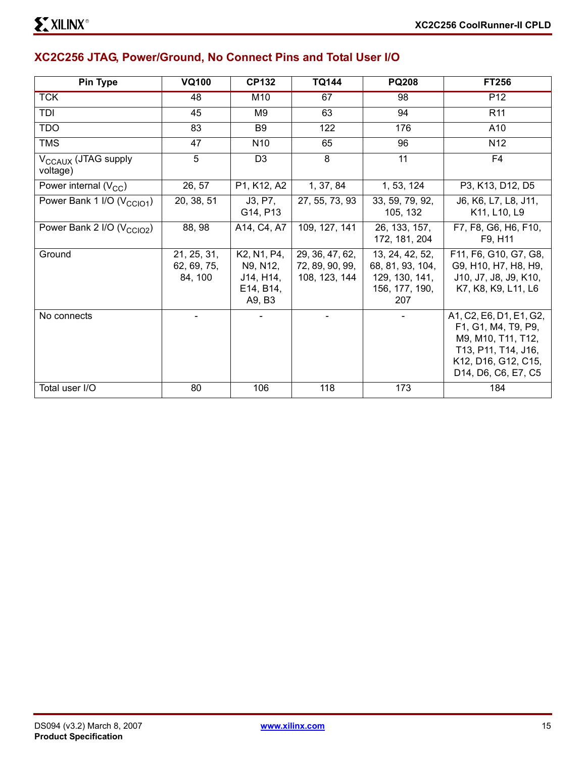#### **XC2C256 JTAG, Power/Ground, No Connect Pins and Total User I/O**

| <b>Pin Type</b>                             | <b>VQ100</b>                          | <b>CP132</b>                                                | <b>TQ144</b>                                        | <b>PQ208</b>                                                                   | <b>FT256</b>                                                                                                                              |
|---------------------------------------------|---------------------------------------|-------------------------------------------------------------|-----------------------------------------------------|--------------------------------------------------------------------------------|-------------------------------------------------------------------------------------------------------------------------------------------|
| <b>TCK</b>                                  | 48                                    | M10                                                         | 67                                                  | 98                                                                             | P <sub>12</sub>                                                                                                                           |
| <b>TDI</b>                                  | 45                                    | M <sub>9</sub>                                              | 63                                                  | 94                                                                             | R <sub>11</sub>                                                                                                                           |
| <b>TDO</b>                                  | 83                                    | B <sub>9</sub>                                              | 122                                                 | 176                                                                            | A10                                                                                                                                       |
| <b>TMS</b>                                  | 47                                    | N <sub>10</sub>                                             | 65                                                  | 96                                                                             | N <sub>12</sub>                                                                                                                           |
| V <sub>CCAUX</sub> (JTAG supply<br>voltage) | 5                                     | D <sub>3</sub>                                              | 8                                                   | 11                                                                             | F4                                                                                                                                        |
| Power internal $(V_{CC})$                   | 26, 57                                | P1, K12, A2                                                 | 1, 37, 84                                           | 1, 53, 124                                                                     | P3, K13, D12, D5                                                                                                                          |
| Power Bank 1 I/O (V <sub>CCIO1</sub> )      | 20, 38, 51                            | J3, P7,<br>G14, P13                                         | 27, 55, 73, 93                                      | 33, 59, 79, 92,<br>105, 132                                                    | J6, K6, L7, L8, J11,<br>K11, L10, L9                                                                                                      |
| Power Bank 2 I/O (V <sub>CCIO2</sub> )      | 88, 98                                | A14, C4, A7                                                 | 109, 127, 141                                       | 26, 133, 157,<br>172, 181, 204                                                 | F7, F8, G6, H6, F10,<br>F9, H11                                                                                                           |
| Ground                                      | 21, 25, 31,<br>62, 69, 75,<br>84, 100 | K2, N1, P4,<br>N9, N12,<br>J14, H14,<br>E14, B14,<br>A9, B3 | 29, 36, 47, 62,<br>72, 89, 90, 99,<br>108, 123, 144 | 13, 24, 42, 52,<br>68, 81, 93, 104,<br>129, 130, 141,<br>156, 177, 190,<br>207 | F11, F6, G10, G7, G8,<br>G9, H10, H7, H8, H9,<br>J10, J7, J8, J9, K10,<br>K7, K8, K9, L11, L6                                             |
| No connects                                 |                                       |                                                             |                                                     |                                                                                | A1, C2, E6, D1, E1, G2,<br>F1, G1, M4, T9, P9,<br>M9, M10, T11, T12,<br>T13, P11, T14, J16,<br>K12, D16, G12, C15,<br>D14, D6, C6, E7, C5 |
| Total user I/O                              | 80                                    | 106                                                         | 118                                                 | 173                                                                            | 184                                                                                                                                       |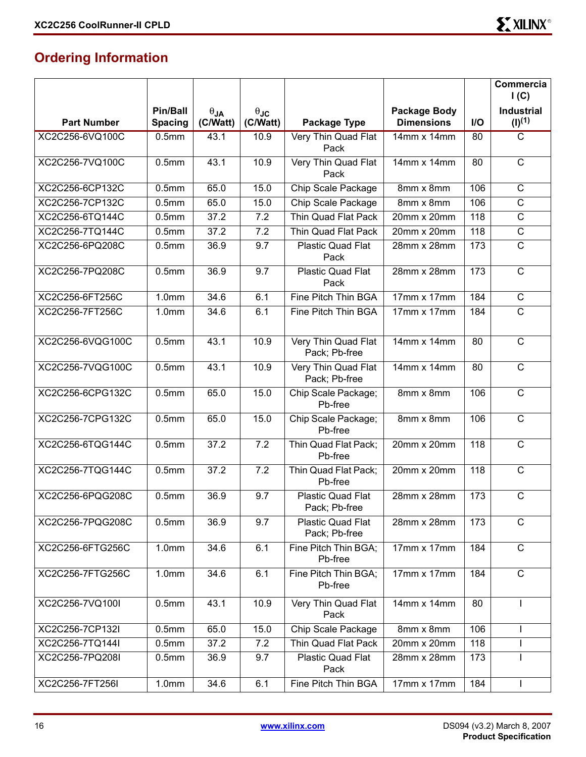### **Ordering Information**

|                    |                   |               |                      |                                      |                    |     | Commercia<br>I(C)     |
|--------------------|-------------------|---------------|----------------------|--------------------------------------|--------------------|-----|-----------------------|
|                    | <b>Pin/Ball</b>   | $\theta_{JA}$ | $\theta_{\text{JC}}$ |                                      | Package Body       |     | <b>Industrial</b>     |
| <b>Part Number</b> | <b>Spacing</b>    | (C/Watt)      | (C/Watt)             | Package Type                         | <b>Dimensions</b>  | I/O | $(I)^{(1)}$           |
| XC2C256-6VQ100C    | 0.5 <sub>mm</sub> | 43.1          | 10.9                 | Very Thin Quad Flat<br>Pack          | 14mm x 14mm        | 80  | $\overline{\text{c}}$ |
| XC2C256-7VQ100C    | 0.5 <sub>mm</sub> | 43.1          | 10.9                 | Very Thin Quad Flat<br>Pack          | 14mm x 14mm        | 80  | $\mathsf{C}$          |
| XC2C256-6CP132C    | 0.5 <sub>mm</sub> | 65.0          | 15.0                 | Chip Scale Package                   | 8mm x 8mm          | 106 | $\mathsf{C}$          |
| XC2C256-7CP132C    | 0.5 <sub>mm</sub> | 65.0          | 15.0                 | Chip Scale Package                   | 8mm x 8mm          | 106 | $\mathsf{C}$          |
| XC2C256-6TQ144C    | 0.5 <sub>mm</sub> | 37.2          | 7.2                  | Thin Quad Flat Pack                  | 20mm x 20mm        | 118 | $\mathsf C$           |
| XC2C256-7TQ144C    | 0.5 <sub>mm</sub> | 37.2          | 7.2                  | Thin Quad Flat Pack                  | 20mm x 20mm        | 118 | $\mathsf{C}$          |
| XC2C256-6PQ208C    | 0.5 <sub>mm</sub> | 36.9          | 9.7                  | Plastic Quad Flat<br>Pack            | 28mm x 28mm        | 173 | $\mathsf{C}$          |
| XC2C256-7PQ208C    | 0.5 <sub>mm</sub> | 36.9          | 9.7                  | Plastic Quad Flat<br>Pack            | 28mm x 28mm        | 173 | $\mathsf{C}$          |
| XC2C256-6FT256C    | 1.0 <sub>mm</sub> | 34.6          | 6.1                  | Fine Pitch Thin BGA                  | $17mm \times 17mm$ | 184 | $\mathsf{C}$          |
| XC2C256-7FT256C    | 1.0 <sub>mm</sub> | 34.6          | 6.1                  | Fine Pitch Thin BGA                  | 17mm x 17mm        | 184 | $\mathsf{C}$          |
| XC2C256-6VQG100C   | 0.5 <sub>mm</sub> | 43.1          | 10.9                 | Very Thin Quad Flat<br>Pack; Pb-free | 14mm x 14mm        | 80  | $\mathsf{C}$          |
| XC2C256-7VQG100C   | 0.5 <sub>mm</sub> | 43.1          | 10.9                 | Very Thin Quad Flat<br>Pack; Pb-free | 14mm x 14mm        | 80  | $\mathsf C$           |
| XC2C256-6CPG132C   | 0.5 <sub>mm</sub> | 65.0          | 15.0                 | Chip Scale Package;<br>Pb-free       | 8mm x 8mm          | 106 | $\mathsf{C}$          |
| XC2C256-7CPG132C   | 0.5 <sub>mm</sub> | 65.0          | 15.0                 | Chip Scale Package;<br>Pb-free       | 8mm x 8mm          | 106 | $\mathsf C$           |
| XC2C256-6TQG144C   | 0.5 <sub>mm</sub> | 37.2          | 7.2                  | Thin Quad Flat Pack;<br>Pb-free      | 20mm x 20mm        | 118 | $\mathsf{C}$          |
| XC2C256-7TQG144C   | 0.5 <sub>mm</sub> | 37.2          | 7.2                  | Thin Quad Flat Pack;<br>Pb-free      | 20mm x 20mm        | 118 | $\mathsf C$           |
| XC2C256-6PQG208C   | 0.5 <sub>mm</sub> | 36.9          | 9.7                  | Plastic Quad Flat<br>Pack; Pb-free   | 28mm x 28mm        | 173 | $\mathsf{C}$          |
| XC2C256-7PQG208C   | 0.5 <sub>mm</sub> | 36.9          | 9.7                  | Plastic Quad Flat<br>Pack; Pb-free   | 28mm x 28mm        | 173 | $\mathsf C$           |
| XC2C256-6FTG256C   | 1.0 <sub>mm</sub> | 34.6          | 6.1                  | Fine Pitch Thin BGA;<br>Pb-free      | 17mm x 17mm        | 184 | $\mathsf C$           |
| XC2C256-7FTG256C   | 1.0 <sub>mm</sub> | 34.6          | 6.1                  | Fine Pitch Thin BGA;<br>Pb-free      | 17mm x 17mm        | 184 | $\mathsf C$           |
| XC2C256-7VQ100I    | 0.5 <sub>mm</sub> | 43.1          | 10.9                 | Very Thin Quad Flat<br>Pack          | 14mm x 14mm        | 80  |                       |
| XC2C256-7CP132I    | 0.5 <sub>mm</sub> | 65.0          | 15.0                 | Chip Scale Package                   | 8mm x 8mm          | 106 |                       |
| XC2C256-7TQ144I    | 0.5 <sub>mm</sub> | 37.2          | 7.2                  | Thin Quad Flat Pack                  | 20mm x 20mm        | 118 |                       |
| XC2C256-7PQ208I    | 0.5 <sub>mm</sub> | 36.9          | 9.7                  | Plastic Quad Flat<br>Pack            | 28mm x 28mm        | 173 |                       |
| XC2C256-7FT256I    | 1.0mm             | 34.6          | 6.1                  | Fine Pitch Thin BGA                  | 17mm x 17mm        | 184 | $\mathbf{I}$          |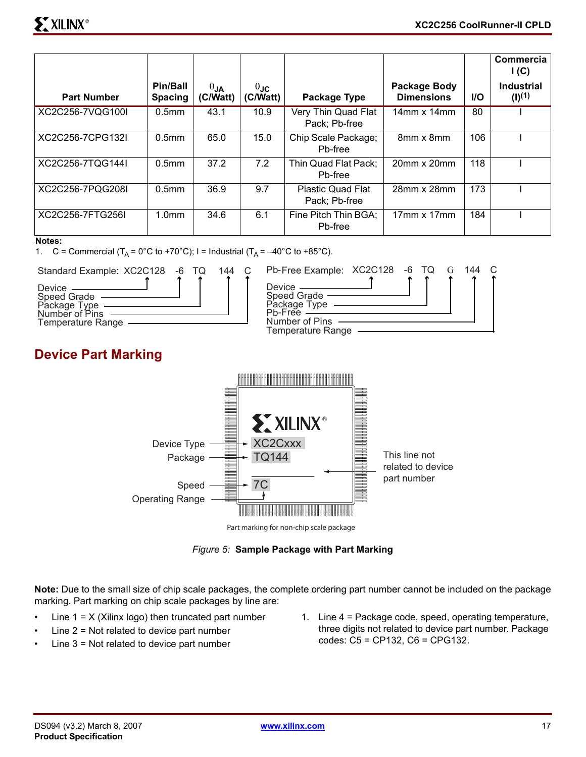|                    |                            |                         |                         |                                           |                                   |            | Commercia<br>I(C)                |
|--------------------|----------------------------|-------------------------|-------------------------|-------------------------------------------|-----------------------------------|------------|----------------------------------|
| <b>Part Number</b> | Pin/Ball<br><b>Spacing</b> | $\theta$ JA<br>(C/Watt) | $\theta$ JC<br>(C/Watt) | Package Type                              | Package Body<br><b>Dimensions</b> | <b>I/O</b> | <b>Industrial</b><br>$(1)^{(1)}$ |
| XC2C256-7VQG100I   | $0.5$ mm                   | 43.1                    | 10.9                    | Very Thin Quad Flat<br>Pack: Pb-free      | $14$ mm x $14$ mm                 | 80         |                                  |
| XC2C256-7CPG132I   | $0.5$ mm                   | 65.0                    | 15.0                    | Chip Scale Package;<br>Pb-free            | 8mm x 8mm                         | 106        |                                  |
| XC2C256-7TQG144I   | 0.5 <sub>mm</sub>          | 37.2                    | 7.2                     | Thin Quad Flat Pack;<br>Pb-free           | $20mm \times 20mm$                | 118        |                                  |
| XC2C256-7PQG208I   | 0.5 <sub>mm</sub>          | 36.9                    | 9.7                     | <b>Plastic Quad Flat</b><br>Pack; Pb-free | 28mm x 28mm                       | 173        |                                  |
| XC2C256-7FTG256I   | 1.0 <sub>mm</sub>          | 34.6                    | 6.1                     | Fine Pitch Thin BGA;<br>Pb-free           | $17mm \times 17mm$                | 184        |                                  |

#### **Notes:**

1. C = Commercial  $(T_A = 0^\circ \text{C}$  to +70°C); I = Industrial  $(T_A = -40^\circ \text{C}$  to +85°C).



#### **Device Part Marking**



*Figure 5:* **Sample Package with Part Marking**

**Note:** Due to the small size of chip scale packages, the complete ordering part number cannot be included on the package marking. Part marking on chip scale packages by line are:

- Line  $1 = X$  (Xilinx logo) then truncated part number
- Line  $2$  = Not related to device part number
- Line  $3$  = Not related to device part number
- 1. Line 4 = Package code, speed, operating temperature, three digits not related to device part number. Package codes: C5 = CP132, C6 = CPG132.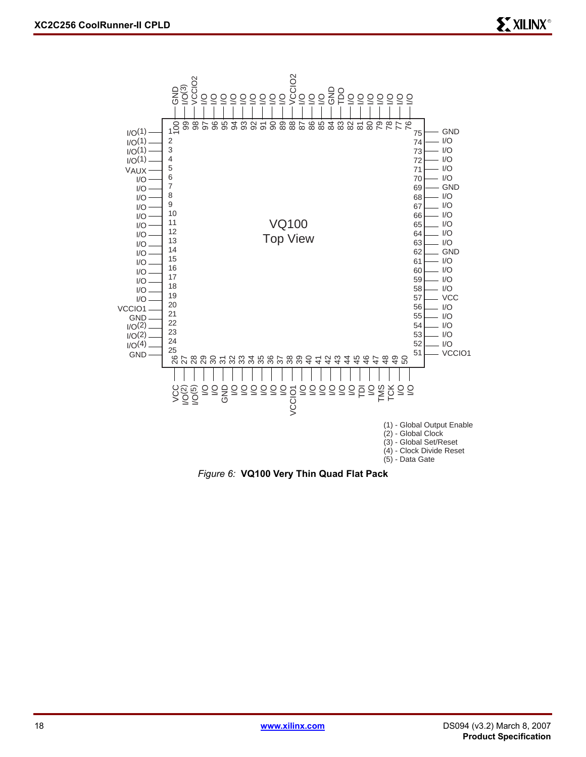

*Figure 6:* **VQ100 Very Thin Quad Flat Pack**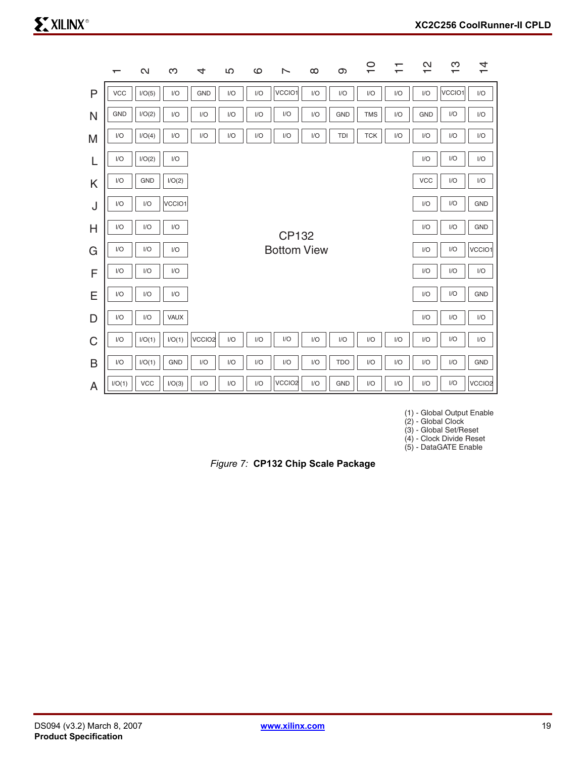|             | $\overline{\phantom{0}}$ | $\mathbf{\Omega}$ | က          | 4                  | LO  | ဖ   | ∼                  | $\infty$ | တ          | $\overline{C}$ | ↽<br>$\overline{\phantom{0}}$ | $\mathbf{\Omega}$<br>$\div$ | က<br>$\overline{\phantom{0}}$ | $\overline{4}$ |
|-------------|--------------------------|-------------------|------------|--------------------|-----|-----|--------------------|----------|------------|----------------|-------------------------------|-----------------------------|-------------------------------|----------------|
| P           | <b>VCC</b>               | I/O(5)            | I/O        | <b>GND</b>         | I/O | I/O | VCCIO1             | I/O      | I/O        | I/O            | I/O                           | I/O                         | VCCIO1                        | I/O            |
| N           | <b>GND</b>               | I/O(2)            | I/O        | I/O                | I/O | I/O | I/O                | I/O      | <b>GND</b> | <b>TMS</b>     | I/O                           | <b>GND</b>                  | I/O                           | I/O            |
| M           | I/O                      | I/O(4)            | I/O        | I/O                | I/O | I/O | I/O                | I/O      | TDI        | <b>TCK</b>     | I/O                           | I/O                         | I/O                           | I/O            |
|             | 1/O                      | I/O(2)            | I/O        |                    |     |     |                    |          |            |                |                               | I/O                         | I/O                           | I/O            |
| K           | I/O                      | <b>GND</b>        | I/O(2)     |                    |     |     |                    |          |            |                |                               | <b>VCC</b>                  | I/O                           | I/O            |
| J           | 1/O                      | I/O               | VCCIO1     |                    |     |     |                    |          |            |                |                               | I/O                         | I/O                           | <b>GND</b>     |
| H           | I/O                      | I/O               | I/O        |                    |     |     | CP132              |          |            |                |                               | I/O                         | I/O                           | <b>GND</b>     |
| G           | I/O                      | I/O               | I/O        |                    |     |     | <b>Bottom View</b> |          |            |                |                               | I/O                         | I/O                           | VCCIO1         |
| F           | I/O                      | I/O               | I/O        |                    |     |     |                    |          |            |                |                               | I/O                         | I/O                           | I/O            |
| Е           | I/O                      | I/O               | I/O        |                    |     |     |                    |          |            |                |                               | I/O                         | I/O                           | <b>GND</b>     |
| D           | I/O                      | I/O               | VAUX       |                    |     |     |                    |          |            |                |                               | I/O                         | I/O                           | I/O            |
| $\mathsf C$ | I/O                      | I/O(1)            | I/O(1)     | VCCIO <sub>2</sub> | 1/O | 1/O | I/O                | I/O      | I/O        | I/O            | 1/O                           | 1/O                         | I/O                           | I/O            |
| B           | I/O                      | I/O(1)            | <b>GND</b> | I/O                | I/O | I/O | I/O                | I/O      | <b>TDO</b> | I/O            | I/O                           | I/O                         | I/O                           | <b>GND</b>     |
| A           | I/O(1)                   | <b>VCC</b>        | I/O(3)     | I/O                | I/O | I/O | VCCIO <sub>2</sub> | I/O      | <b>GND</b> | I/O            | I/O                           | I/O                         | I/O                           | VCCIO2         |

(1) - Global Output Enable

(2) - Global Clock

(3) - Global Set/Reset

(4) - Clock Divide Reset (5) - DataGATE Enable

*Figure 7:* **CP132 Chip Scale Package**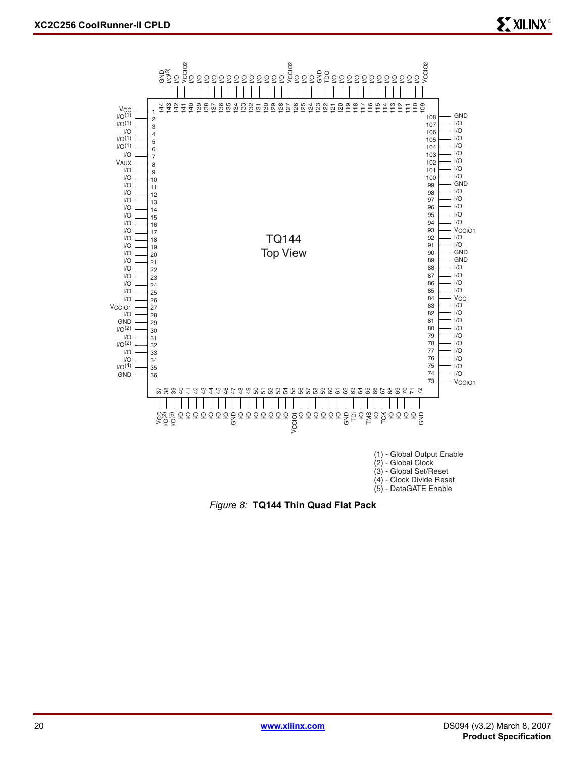

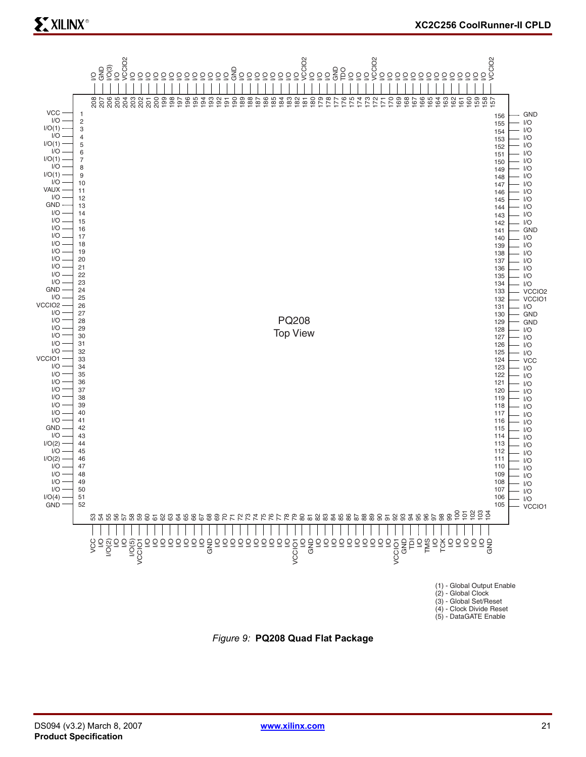# **EXILINX®**



*Figure 9:* **PQ208 Quad Flat Package**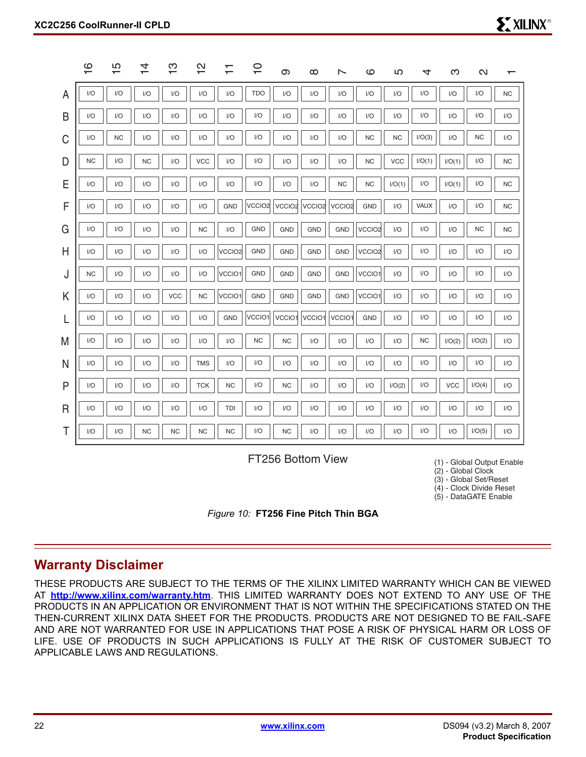|              | $\circ$<br>$\overline{\phantom{0}}$ | ပ<br>$\overline{\phantom{0}}$ | 4<br>$\overline{\phantom{0}}$ | က<br>ᅮ     | $\mathbf{\Omega}$<br>$\overline{\phantom{0}}$ | $\mathbf \tau$<br>$\overline{\phantom{0}}$ | $\frac{1}{1}$      | တ                       | $\infty$      | ∼                  | ဖ                  | LO         | 4         | ო          | $\mathbf{\Omega}$ | ᅮ         |
|--------------|-------------------------------------|-------------------------------|-------------------------------|------------|-----------------------------------------------|--------------------------------------------|--------------------|-------------------------|---------------|--------------------|--------------------|------------|-----------|------------|-------------------|-----------|
| A            | I/O                                 | I/O                           | I/O                           | I/O        | I/O                                           | I/O                                        | <b>TDO</b>         | I/O                     | I/O           | I/O                | I/O                | I/O        | I/O       | I/O        | I/O               | <b>NC</b> |
| B            | I/O                                 | I/O                           | I/O                           | I/O        | I/O                                           | I/O                                        | I/O                | $\mathsf{I}/\mathsf{O}$ | I/O           | I/O                | I/O                | I/O        | I/O       | I/O        | I/O               | I/O       |
| C            | I/O                                 | <b>NC</b>                     | I/O                           | I/O        | I/O                                           | I/O                                        | I/O                | I/O                     | I/O           | I/O                | NC                 | <b>NC</b>  | I/O(3)    | I/O        | <b>NC</b>         | I/O       |
| D            | <b>NC</b>                           | I/O                           | <b>NC</b>                     | 1/O        | VCC                                           | I/O                                        | I/O                | I/O                     | I/O           | I/O                | NC                 | <b>VCC</b> | I/O(1)    | I/O(1)     | I/O               | <b>NC</b> |
| Ε            | I/O                                 | I/O                           | I/O                           | I/O        | I/O                                           | I/O                                        | I/O                | I/O                     | I/O           | <b>NC</b>          | <b>NC</b>          | I/O(1)     | I/O       | I/O(1)     | I/O               | <b>NC</b> |
| F            | I/O                                 | I/O                           | I/O                           | 1/O        | I/O                                           | <b>GND</b>                                 | VCCIO <sub>2</sub> | VCCIO <sub>2</sub>      | <b>VCCIO2</b> | VCCIO <sub>2</sub> | <b>GND</b>         | I/O        | VAUX      | I/O        | I/O               | <b>NC</b> |
| G            | 1/O                                 | I/O                           | I/O                           | I/O        | <b>NC</b>                                     | I/O                                        | GND                | <b>GND</b>              | <b>GND</b>    | <b>GND</b>         | VCCIO <sub>2</sub> | I/O        | I/O       | 1/O        | <b>NC</b>         | <b>NC</b> |
| $\mathsf{H}$ | 1/O                                 | I/O                           | I/O                           | I/O        | I/O                                           | VCCIO <sub>2</sub>                         | <b>GND</b>         | <b>GND</b>              | <b>GND</b>    | GND                | VCCIO <sub>2</sub> | I/O        | I/O       | I/O        | I/O               | I/O       |
| J            | <b>NC</b>                           | I/O                           | I/O                           | I/O        | I/O                                           | VCCIO1                                     | GND                | <b>GND</b>              | <b>GND</b>    | <b>GND</b>         | VCCIO1             | I/O        | I/O       | I/O        | I/O               | I/O       |
| Κ            | I/O                                 | I/O                           | I/O                           | <b>VCC</b> | <b>NC</b>                                     | VCCIO1                                     | <b>GND</b>         | <b>GND</b>              | <b>GND</b>    | GND                | VCCIO1             | I/O        | I/O       | I/O        | I/O               | I/O       |
|              | 1/O                                 | I/O                           | I/O                           | I/O        | I/O                                           | <b>GND</b>                                 | VCCIO1             | <b>VCCIO</b>            | VCCIO1        | VCCIO1             | GND                | I/O        | I/O       | I/O        | I/O               | I/O       |
| M            | I/O                                 | I/O                           | I/O                           | I/O        | I/O                                           | I/O                                        | <b>NC</b>          | <b>NC</b>               | I/O           | I/O                | I/O                | I/O        | <b>NC</b> | I/O(2)     | I/O(2)            | 1/O       |
| N            | I/O                                 | I/O                           | I/O                           | I/O        | <b>TMS</b>                                    | I/O                                        | I/O                | I/O                     | I/O           | I/O                | I/O                | I/O        | I/O       | I/O        | I/O               | I/O       |
| P            | I/O                                 | I/O                           | I/O                           | I/O        | <b>TCK</b>                                    | <b>NC</b>                                  | I/O                | <b>NC</b>               | I/O           | I/O                | I/O                | I/O(2)     | I/O       | <b>VCC</b> | I/O(4)            | I/O       |
| R            | I/O                                 | I/O                           | I/O                           | I/O        | I/O                                           | TDI                                        | I/O                | I/O                     | I/O           | I/O                | I/O                | I/O        | I/O       | I/O        | 1/O               | I/O       |
| Τ            | I/O                                 | I/O                           | <b>NC</b>                     | <b>NC</b>  | <b>NC</b>                                     | <b>NC</b>                                  | I/O                | <b>NC</b>               | I/O           | I/O                | I/O                | I/O        | I/O       | I/O        | I/O(5)            | 1/O       |
|              |                                     |                               |                               |            |                                               |                                            |                    |                         |               |                    |                    |            |           |            |                   |           |

FT256 Bottom View

(1) - Global Output Enable

(2) - Global Clock (3) - Global Set/Reset

(4) - Clock Divide Reset

(5) - DataGATE Enable



#### **Warranty Disclaimer**

THESE PRODUCTS ARE SUBJECT TO THE TERMS OF THE XILINX LIMITED WARRANTY WHICH CAN BE VIEWED AT **<http://www.xilinx.com/warranty.htm>**. THIS LIMITED WARRANTY DOES NOT EXTEND TO ANY USE OF THE PRODUCTS IN AN APPLICATION OR ENVIRONMENT THAT IS NOT WITHIN THE SPECIFICATIONS STATED ON THE THEN-CURRENT XILINX DATA SHEET FOR THE PRODUCTS. PRODUCTS ARE NOT DESIGNED TO BE FAIL-SAFE AND ARE NOT WARRANTED FOR USE IN APPLICATIONS THAT POSE A RISK OF PHYSICAL HARM OR LOSS OF LIFE. USE OF PRODUCTS IN SUCH APPLICATIONS IS FULLY AT THE RISK OF CUSTOMER SUBJECT TO APPLICABLE LAWS AND REGULATIONS.